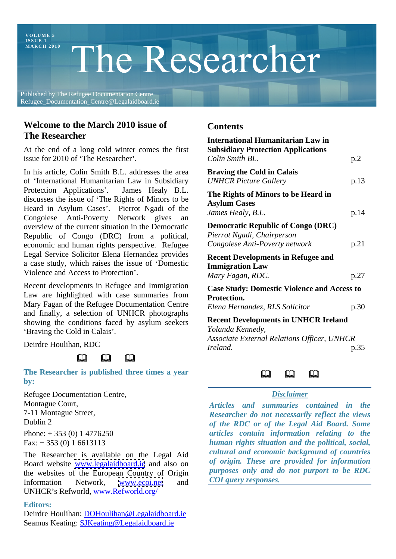**VOL UME 5**

## **I SS UE 1**  $\text{MAPCH 2010}$  The Researcher

Published by The Refugee Documentation Centre Refugee\_Documentation\_Centre@Legalaidboard.ie

## **Welcome to the March 2010 issue of The Researcher**

At the end of a long cold winter comes the first issue for 2010 of 'The Researcher'.

In his article, Colin Smith B.L. addresses the area of International Humanitarian Law in Subsidiary Protection Applications'. James Healy B.L. The Dights of Miners to be Heard in discusses the issue of The Rights of Minors to be Heard in Asylum Cases'. Pierrot Ngadi of the Congolese Anti-Poverty Network gives an overview of the current situation in the Democratic Republic of Congo (DRC) from a political, economic and human rights perspective. Refugee Legal Service Solicitor Elena Hernandez provides a case study, which raises the issue of Domestic Violence and Access to Protection'.

Recent developments in Refugee and Immigration Law are highlighted with case summaries from Mary Fagan of the Refugee Documentation Centre and finally, a selection of UNHCR photographs showing the conditions faced by asylum seekers 'Braving the Cold in Calais'.

### $\Box$  $\Box$  $\Box$

**The Researcher is published three times a year the search of the search of the search of the search of the search of the search of the search of the search of the search of the search of the search of the search of the by:** 

Refugee Documentation Centre,  $Disclaimer$ 

The Researcher is available on the Legal Aid Board website [www.legalaidboard.ie](http://www.legalaidboard.ie) and also on the websites of the European Country of Origin Information Network, <u>[www.ecoi.net](http://www.ecoi.net)</u> and COI query responses. UNHCR's Refworld, www.Refworld.org/

## **Editors:**

Deirdre Houlihan: DOHoulihan@Legalaidboard.ie Seamus Keating: SJKeating@Legalaidboard.ie

## **Contents**

| <b>International Humanitarian Law in</b><br><b>Subsidiary Protection Applications</b><br>Colin Smith BL.  | p.2  |
|-----------------------------------------------------------------------------------------------------------|------|
| <b>Braving the Cold in Calais</b><br><b>UNHCR Picture Gallery</b>                                         | p.13 |
| The Rights of Minors to be Heard in<br><b>Asylum Cases</b><br>James Healy, B.L.                           | p.14 |
| <b>Democratic Republic of Congo (DRC)</b><br>Pierrot Ngadi, Chairperson<br>Congolese Anti-Poverty network | p.21 |
| <b>Recent Developments in Refugee and</b><br><b>Immigration Law</b><br>Mary Fagan, RDC.                   | p.27 |
| <b>Case Study: Domestic Violence and Access to</b><br>Protection.<br>Elena Hernandez, RLS Solicitor       | p.30 |
| <b>Recent Developments in UNHCR Ireland</b><br>Yolanda Kennedy,                                           |      |

Deirdre Houlihan, RDC *Ireland Reformed Reformed* **Ref** *Associate External Relations Officer, UNHCR Ireland.* p.35

## *Disclaimer*

Montague Court, *Articles and summaries contained in the* 7-11 Montague Street, *Researcher do not necessarily reflect the views* Dublin 2 *of the RDC or of the Legal Aid Board. Some* Phone: + 353 (0) 1 4776250 *articles contain information relating to the* Fax: + 353 (0) 1 6613113 *human rights situation and the political, social, cultural and economic background of countries of origin. These are provided for information purposes only and do not purport to be RDC COI query responses.*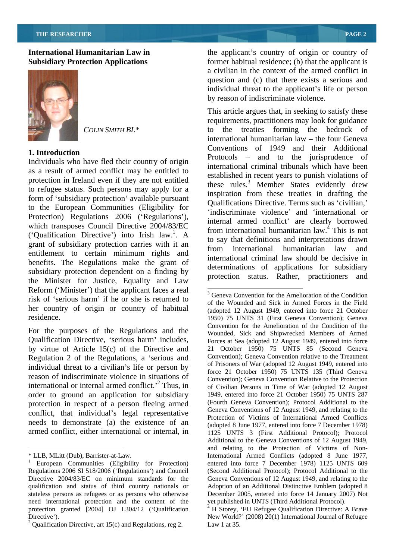

Individuals who have fled their country of origin as a result of armed conflict may be entitled to protection in Ireland even if they are not entitled to refugee status. Such persons may apply for a form of 'subsidiary protection' available pursuant to the European Communities (Eligibility for Protection) Regulations 2006 ('Regulations'), which transposes Council Directive 2004/83/EC ('Qualification Directive') into Irish law.<sup>1</sup>. A grant of subsidiary protection carries with it and the say that definitions and interpretations drawn entitlement to certain minimum rights and benefits. The Regulations make the grant of subsidiary protection dependent on a finding by the Minister for Justice, Equality and Law Reform ('Minister') that the applicant faces a real  $\frac{1}{3}$  Geneva Convention for the Amelioration of the Condition risk of 'serious harm' if he or she is returned to her country of origin or country of habitual

For the purposes of the Regulations and the Qualification Directive, 'serious harm' includes, by virtue of Article 15(c) of the Directive and Regulation 2 of the Regulations, a 'serious and individual threat to a civilian's life or person by reason of indiscriminate violence in situations of international or internal armed conflict.<sup> $2$ </sup> Thus, in order to ground an application for subsidiary protection in respect of a person fleeing armed conflict, that individual's legal representative needs to demonstrate (a) the existence of an armed conflict, either international or internal, in

**International Humanitarian Law in** the applicant's country of origin or country of **Subsidiary Protection Applications Example 1** former habitual residence; (b) that the applicant is a civilian in the context of the armed conflict in question and (c) that there exists a serious and individual threat to the applicant's life or person by reason of indiscriminate violence.

*COLIN SMITH BL\** to the treaties forming the bedrock of **1.** Introduction<br> **1.** Individuals who have fled their country of origin Protocols – and to the jurisprudence of  $\mathbf{A}$  to say that definitions and interpretations drawn This article argues that, in seeking to satisfy these requirements, practitioners may look for guidance international humanitarian  $law -$  the four Geneva Conventions of 1949 and their Additional international criminal tribunals which have been established in recent years to punish violations of these rules.<sup>3</sup> Member States evidently drew inspiration from these treaties in drafting the Qualifications Directive. Terms such as 'civilian.' 'indiscriminate violence' and 'international or internal armed conflict' are clearly borrowed from international humanitarian law.<sup>4</sup> This is not from international humanitarian law and international criminal law should be decisive in determinations of applications for subsidiary protection status. Rather, practitioners and

need international protection and the content of the yet published in UNTS (Third Additional Protocol). protection granted [2004] OJ L304/12 ('Qualification  $4H$  Storey, 'EU Refugee Qualification Directive: A Brave

 $2$  Qualification Directive, art 15(c) and Regulations, reg 2.

residence. 1950) 75 UNTS 31 (First Geneva Convention); Geneva and relating to the Protection of Victims of Non-<br>
\* LLB, MLitt (Dub), Barrister-at-Law.<br>
<sup>1</sup> European Communities (Eligibility for Protection) entered into force 7 December 1978) 1125 UNTS 609 Regulations 2006 SI 518/2006 ( Regulations ) and Council (Second Additional Protocol); Protocol Additional to the Directive 2004/83/EC on minimum standards for the Geneva Conventions of 12 August 1949, and relating to the qualification and status of third country nationals or Adoption of an Additional Distinctive Emblem (adopted 8 stateless persons as refugees or as persons who otherwise December 2005, entered into force 14 January 2007) Not <sup>3</sup> Geneva Convention for the Amelioration of the Condition of the Wounded and Sick in Armed Forces in the Field (adopted 12 August 1949, entered into force 21 October Convention for the Amelioration of the Condition of the Wounded, Sick and Shipwrecked Members of Armed Forces at Sea (adopted 12 August 1949, entered into force 21 October 1950) 75 UNTS 85 (Second Geneva Convention); Geneva Convention relative to the Treatment of Prisoners of War (adopted 12 August 1949, entered into force 21 October 1950) 75 UNTS 135 (Third Geneva Convention); Geneva Convention Relative to the Protection of Civilian Persons in Time of War (adopted 12 August 1949, entered into force 21 October 1950) 75 UNTS 287 (Fourth Geneva Convention); Protocol Additional to the Geneva Conventions of 12 August 1949, and relating to the Protection of Victims of International Armed Conflicts (adopted 8 June 1977, entered into force 7 December 1978) 1125 UNTS 3 (First Additional Protocol); Protocol Additional to the Geneva Conventions of 12 August 1949, and relating to the Protection of Victims of Non-International Armed Conflicts (adopted 8 June 1977, entered into force 7 December 1978) 1125 UNTS 609

Directive').<br>
<sup>2</sup> Quelification Directive ert 15(a) and Begulations reg. 2<br>
<sup>2</sup> Quelification Directive ert 15(a) and Begulations reg. 2 yet published in UNTS (Third Additional Protocol).<br><sup>4</sup> H Storey, 'EU Refugee Qualification Directive: A Brave Law 1 at 35.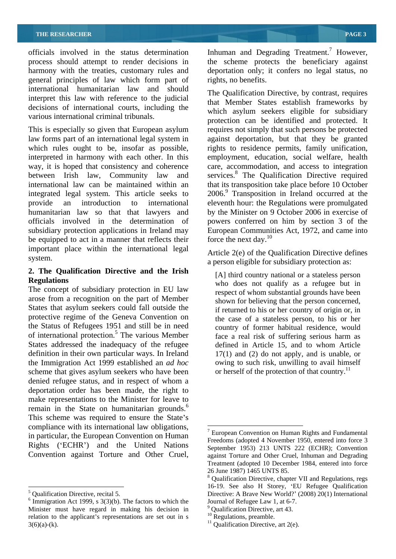officials involved in the status determination Inhuman and Degrading Treatment.<sup>7</sup> However, process should attempt to render decisions in the scheme protects the beneficiary against harmony with the treaties, customary rules and deportation only; it confers no legal status, no general principles of law which form part of international humanitarian law and should interpret this law with reference to the judicial decisions of international courts, including the

law forms part of an international legal system in against deportation, but that they be granted which rules ought to be, insofar as possible, rights to residence permits, family unification, interpreted in harmony with each other. In this employment, education, social welfare, health way, it is hoped that consistency and coherence between Irish law, Community law and services.<sup>8</sup> The Qualification Directive required international law can be maintained within an integrated legal system. This article seeks to provide an introduction to international eleventh hour: the Regulations were promulgated humanitarian law so that that lawyers and by the Minister on 9 October 2006 in exercise of officials involved in the determination of powers conferred on him by section 3 of the subsidiary protection applications in Ireland may European Communities Act, 1972, and came into be equipped to act in a manner that reflects their force the next day.<sup>10</sup> important place within the international legal

## **2. The Qualification Directive and the Irish**

The concept of subsidiary protection in EU law arose from a recognition on the part of Member States that asylum seekers could fall outside the protective regime of the Geneva Convention on the Status of Refugees 1951 and still be in need of international protection.<sup>5</sup> The various Member States addressed the inadequacy of the refugee definition in their own particular ways. In Ireland the Immigration Act 1999 established an *ad hoc* scheme that gives asylum seekers who have been denied refugee status, and in respect of whom a deportation order has been made, the right to make representations to the Minister for leave to remain in the State on humanitarian grounds.<sup>6</sup> This scheme was required to ensure the State's compliance with its international law obligations,<br>in neutralism the European Convention on Hymner. in particular, the European Convention on Human Rights ('ECHR') and the United Nations Convention against Torture and Other Cruel,

rights, no benefits.

various international criminal tribunals.<br>
protection can be identified and protected. It This is especially so given that European asylum requires not simply that such persons be protected The Qualification Directive, by contrast, requires that Member States establish frameworks by which asylum seekers eligible for subsidiary care, accommodation, and access to integration that its transposition take place before 10 October 2006.<sup>9</sup> Transposition in Ireland occurred at the force the next day. $10$ 

system.<br>
a person eligible for subsidiary protection as: Article 2(e) of the Qualification Directive defines

**Regulations**<br>
who does not qualify as a refugee but in [A] third country national or a stateless person respect of whom substantial grounds have been shown for believing that the person concerned, if returned to his or her country of origin or, in the case of a stateless person, to his or her country of former habitual residence, would face a real risk of suffering serious harm as defined in Article 15, and to whom Article 17(1) and (2) do not apply, and is unable, or owing to such risk, unwilling to avail himself or herself of the protection of that country.<sup>11</sup>

 $6$  Immigration Act 1999, s 3(3)(b). The factors to which the Journal of Refugee Law 1, at 6-7. Minister must have regard in making his decision in  $\frac{9}{2}$  Qualification Directive, art 43.<br>relation to the applicant's representations are set out in s  $\frac{10}{2}$  Regulations, preamble. relation to the applicant's representations are set out in s  $3(6)(a)-(k)$ . <sup>11</sup> Qualification Directive, art 2(e).

<sup>&</sup>lt;sup>7</sup> European Convention on Human Rights and Fundamental Freedoms (adopted 4 November 1950, entered into force 3 September 1953) 213 UNTS 222 (ECHR); Convention against Torture and Other Cruel, Inhuman and Degrading Treatment (adopted 10 December 1984, entered into force 26 June 1987) 1465 UNTS 85. <sup>8</sup> Qualification Directive, chapter VII and Regulations, regs

<sup>16-19.</sup> See also H Storey, 'EU Refugee Qualification<br>
Soughtfraction Directive regital 5<br>
Directive: A Braye New World?' (2008) 20(1) International Qualification Directive, recital 5.<br>  $\frac{6}{5}$  Universition Act 1000,  $\frac{2}{3}$ (A). The fectors to which the Lournal of Befugee Law 1, at 6.7 Journal of Refugee Law 1, at 6-7.<br><sup>9</sup> Qualification Directive, art  $43$ 

<sup>&</sup>lt;sup>9</sup> Qualification Directive, art 43.<br><sup>10</sup> Regulations, preamble.<br><sup>11</sup> Qualification Directive, art 2(e).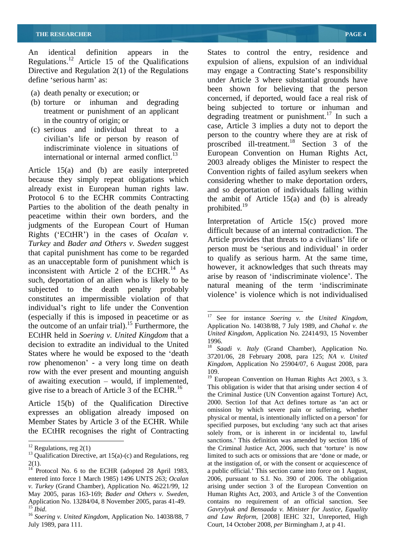An identical definition appears in the States to control the entry, residence and Regulations.<sup>12</sup> Article 15 of the Qualifications<br>Directive and Regulation 2(1) of the Regulations Directive and Regulation 2(1) of the Regulations may engage a Contracting State's responsibility define 'serious harm' as:  $\qquad \qquad$  under Article 3 where substantial grounds have

- (a) death penalty or execution; or
- (b) torture or inhuman and degrading treatment or punishment of an applicant
- (c) serious and individual threat to a civilian's life or person by reason of indiscriminate violence in situations of international or internal armed conflict. $^{13}$

because they simply repeat obligations which considering whether to make deportation orders, already exist in European human rights law. and so deportation of individuals falling within Protocol 6 to the ECHR commits Contracting the ambit of Article 15(a) and (b) is already Parties to the abolition of the death penalty in prohibited.<sup>19</sup> peacetime within their own borders, and the judgments of the European Court of Human Rights ( ECtHR ) in the cases of *Ocalan v. Turkey* and *Bader and Others v. Sweden* suggest that capital punishment has come to be regarded as an unacceptable form of punishment which is inconsistent with Article 2 of the ECHR.<sup>14</sup> As such, deportation of an alien who is likely to be subjected to the death penalty probably constitutes an impermissible violation of that individual's right to life under the Convention (especially if this is imposed in peacetime or as  $17$  See for instance Soering v. the United Kingdom, the outcome of an unfair trial).<sup>15</sup> Furthermore, the Application No. 14038/88, 7 July 1989, and *Chahal v. the* ECtHR held in *Soering v. United Kingdom* that a decision to extradite an individual to the United States where he would be exposed to the 'death row phenomenon' - a very long time on death Kingdom, Application No 25904/07, 6 August 2008, para row with the ever present and mounting anguish 109. of awaiting execution  $-$  would, if implemented, give rise to a breach of Article 3 of the ECHR.<sup>16</sup>

Article 15(b) of the Qualification Directive expresses an obligation already imposed on Member States by Article 3 of the ECHR. While the ECtHR recognises the right of Contracting

in the country of origin; or<br>
case, Article 3 implies a duty not to deport the<br>
case, Article 3 implies a duty not to deport the Article 15(a) and (b) are easily interpreted Convention rights of failed asylum seekers when expulsion of aliens, expulsion of an individual been shown for believing that the person concerned, if deported, would face a real risk of being subjected to torture or inhuman and degrading treatment or punishment.<sup>17</sup> In such a person to the country where they are at risk of proscribed ill-treatment.<sup>18</sup> Section  $3$  of the European Convention on Human Rights Act, 2003 already obliges the Minister to respect the prohibited.<sup>19</sup>

> Interpretation of Article 15(c) proved more difficult because of an internal contradiction. The Article provides that threats to a civilians' life or person must be 'serious and individual' in order to qualify as serious harm. At the same time, however, it acknowledges that such threats may arise by reason of indiscriminate violence . The natural meaning of the term 'indiscriminate violence' is violence which is not individualised

<sup>&</sup>lt;sup>12</sup> Regulations, reg 2(1) <sup>13</sup> Qualification Directive, art 15(a)-(c) and Regulations, reg

July 1989, para 111. Court, 14 October 2008, *per* Birmingham J, at p 41.

<sup>17</sup> See for instance *Soering v. the United Kingdom*, Application No. 14038/88, <sup>7</sup> July 1989, and *Chahal v. the United Kingdom*, Application No. 22414/93, 15 November

<sup>&</sup>lt;sup>18</sup> *Saadi v. Italy* (Grand Chamber), Application No. 37201/06, 28 February 2008, para 125; *NA v. United* 109.

<sup>2(1).</sup> at the instigation of, or with the consent or acquiescence of at Protocol No. 6 to the ECHR (adopted 28 April 1983, a public official.' This section came into force on 1 August, entered into force 1 March 1985) 1496 UNTS 263; *Ocalan*  2006, pursuant to S.I. No. 390 of 2006. The obligation *v. Turkey* (Grand Chamber), Application No. 46221/99, 12 arising under section 3 of the European Convention on May 2005, paras 163-169; *Bader and Others v. Sweden*, Human Rights Act, 2003, and Article 3 of the Convention<br>Application No. 13284/04, 8 November 2005, paras 41-49. contains no requirement of an official sanction. See<br><sup>1</sup> <sup>19</sup> European Convention on Human Rights Act 2003, s 3. This obligation is wider that that arising under section 4 of the Criminal Justice (UN Convention against Torture) Act, 2000. Section 1of that Act defines torture as 'an act or omission by which severe pain or suffering, whether physical or mental, is intentionally inflicted on a person' for specified purposes, but excluding 'any such act that arises solely from, or is inherent in or incidental to, lawful sanctions.' This definition was amended by section 186 of the Criminal Justice Act, 2006, such that 'torture' is now limited to such acts or omissions that are 'done or made, or at the instigation of, or with the consent or acquiescence of a public official.' This section came into force on 1 August, Human Rights Act, 2003, and Article 3 of the Convention contains no requirement of an official sanction. See *Gavrylyuk and Bensaada v. Ministerfor Justice, Equality and Law Reform*, [2008] IEHC 321, Unreported, High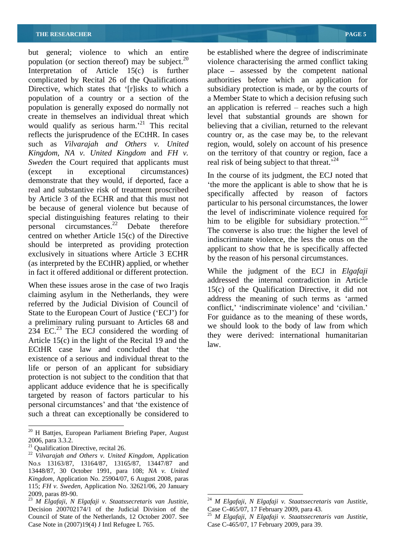but general; violence to which an entire be established where the degree of indiscriminate population (or section thereof) may be subject. $^{20}$ Interpretation of Article 15(c) is further place – assessed by the competent national complicated by Recital 26 of the Qualifications authorities before which an application for Directive, which states that '[r]isks to which a population of a country or a section of the a Member State to which a decision refusing such population is generally exposed do normally not an application is referred – reaches such a high create in themselves an individual threat which level that substantial grounds are shown for would qualify as serious harm.<sup> $21$ </sup> This recital reflects the jurisprudence of the ECtHR. In cases country or, as the case may be, to the relevant such as *Vilvarajah and Others v. United* region, would, solely on account of his presence *Kingdom*, *NA v. United Kingdom* and *FH v. Sweden* the Court required that applicants must (except in exceptional circumstances) In the course of its judgment, the ECJ noted that demonstrate that they would, if deported, face a real and substantive risk of treatment proscribed by Article 3 of the ECHR and that this must not be because of general violence but because of special distinguishing features relating to their personal circumstances. $22$  Debate therefore centred on whether Article 15(c) of the Directive should be interpreted as providing protection exclusively in situations where Article 3 ECHR (as interpreted by the ECtHR) applied, or whether in fact it offered additional or different protection.

When these issues arose in the case of two Iraqis claiming asylum in the Netherlands, they were referred by the Judicial Division of Council of State to the European Court of Justice ('ECJ') for a preliminary ruling pursuant to Articles 68 and  $234$  EC.<sup>23</sup> The ECJ considered the wording of Article 15(c) in the light of the Recital 19 and the  $\frac{\text{lney}}{\text{law}}$ . ECtHR case law and concluded that 'the existence of a serious and individual threat to the life or person of an applicant for subsidiary protection is not subject to the condition that that applicant adduce evidence that he is specifically targeted by reason of factors particular to his personal circumstances' and that 'the existence of such a threat can exceptionally be considered to

violence characterising the armed conflict taking subsidiary protection is made, or by the courts of believing that a civilian, returned to the relevant on the territory of that country or region, face a real risk of being subject to that threat.<sup> $24$ </sup>

the more the applicant is able to show that he is specifically affected by reason of factors particular to his personal circumstances, the lower the level of indiscriminate violence required for him to be eligible for subsidiary protection.<sup>25</sup> The converse is also true: the higher the level of indiscriminate violence, the less the onus on the applicant to show that he is specifically affected by the reason of his personal circumstances.

While the judgment of the ECJ in *Elgafaji* addressed the internal contradiction in Article 15(c) of the Qualification Directive, it did not address the meaning of such terms as 'armed conflict,' 'indiscriminate violence' and 'civilian.' For guidance as to the meaning of these words, we should look to the body of law from which they were derived: international humanitarian law.

<sup>&</sup>lt;sup>20</sup> H Battjes, European Parliament Briefing Paper, August 2006, para 3.3.2.<br><sup>21</sup> Qualification Directive, recital 26.<br><sup>22</sup> *Vilvarajah and Others v. United Kingdom*, Application

No.s 13163/87, 13164/87, 13165/87, 13447/87 and 13448/87, 30 October 1991, para 108; *NA v. United Kingdom*, Application No. 25904/07, 6 August 2008, paras 115; *FH v. Sweden*, Application No. 32621/06, 20 January

Council of State of the Netherlands, 12 October 2007. See  $^{25}$  M Elgafaji, N Elgafaji v. Staatssecretaris van Justitie, Case Note in (2007)19(4) J Intl Refugee L 765.

<sup>2009,</sup> paras 89-90.<br><sup>23</sup> *M Elgafaji, N Elgafaji v. Staatssecretaris van Justitie,* <sup>24</sup> *M Elgafaji, N Elgafaji v. Staatssecretaris van Justitie*, Decision 200702174/1 of the Judicial Division of the Case C-465/07, 17 Febr <sup>24</sup> *M Elgafaji, N Elgafaji v. Staatssecretaris van Justitie,*<br>Case C-465/07, 17 February 2009, para 43.<br><sup>25</sup> *M Elgafaji, N Elgafaji v. Staatssecretaris van Justitie,*<br>Case C-465/07, 17 February 2009, para 39.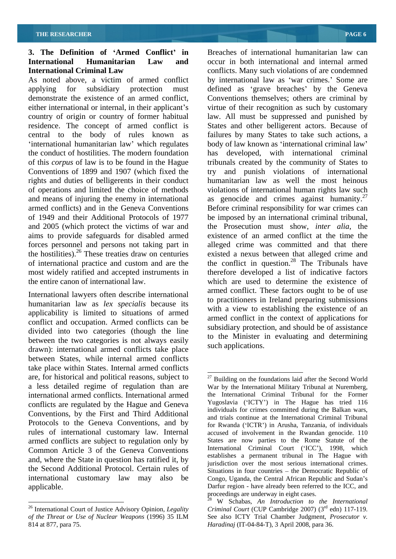# **3. The Definition of Armed Conflict in**

applying for subsidiary protection must defined as 'grave breaches' by the Geneva demonstrate the existence of an armed conflict, Conventions themselves; others are criminal by either international or internal, in their applicant's virtue of their recognition as such by customary country of origin or country of former habitual law. All must be suppressed and punished by residence. The concept of armed conflict is central to the body of rules known as the conduct of hostilities. The modern foundation has developed, with international criminal of this *corpus* of law is to be found in the Hague tribunals created by the community of States to Conventions of 1899 and 1907 (which fixed the rights and duties of belligerents in their conduct of operations and limited the choice of methods and means of injuring the enemy in international as genocide and crimes against humanity.<sup>27</sup> armed conflicts) and in the Geneva Conventions Before criminal responsibility for war crimes can of 1949 and their Additional Protocols of 1977 be imposed by an international criminal tribunal, and 2005 (which protect the victims of war and the Prosecution must show, *inter alia*, the aims to provide safeguards for disabled armed forces personnel and persons not taking part in the hostilities).<sup>26</sup> These treaties draw on centuries of international practice and custom and are the the conflict in question.<sup>28</sup> The Tribunals have most widely ratified and accepted instruments in therefore developed a list of indicative factors the entire canon of international law. which are used to determine the existence of

International lawyers often describe international humanitarian law as *lex specialis* because its applicability is limited to situations of armed conflict and occupation. Armed conflicts can be divided into two categories (though the line between the two categories is not always easily drawn): international armed conflicts take place between States, while internal armed conflicts take place within States. Internal armed conflicts are, for historical and political reasons, subject to  $\frac{27}{27}$  Building on the foundations laid after the Second World a less detailed regime of regulation than are War by the International Military Tribunal at Nuremberg, international armed conflicts. International armed conflicts are regulated by the Hague and Geneva Conventions, by the First and Third Additional Protocols to the Geneva Conventions, and by rules of international customary law. Internal armed conflicts are subject to regulation only by Common Article 3 of the Geneva Conventions and, where the State in question has ratified it, by the Second Additional Protocol. Certain rules of international customary law may also be Congo, Uganda, the Central African Republic and Sudan s applicable. Darfur region - have already been referred to the ICC, and

**International Humanitarian Law and** occur in both international and internal armed **International Criminal Law** conflicts. Many such violations of are condemned As noted above, a victim of armed conflict by international law as 'war crimes.' Some are international humanitarian law' which regulates body of law known as 'international criminal law' Breaches of international humanitarian law can States and other belligerent actors. Because of failures by many States to take such actions, a and punish violations of international humanitarian law as well the most heinous violations of international human rights law such existence of an armed conflict at the time the alleged crime was committed and that there existed a nexus between that alleged crime and armed conflict. These factors ought to be of use to practitioners in Ireland preparing submissions with a view to establishing the existence of an armed conflict in the context of applications for subsidiary protection, and should be of assistance to the Minister in evaluating and determining such applications.

 <sup>26</sup> International Court of Justice Advisory Opinion, *Legality*  814 at 877, para 75. *Haradinaj* (IT-04-84-T), 3 April 2008, para 36.

the International Criminal Tribunal for the Former Yugoslavia ('ICTY') in The Hague has tried 116 individuals for crimes committed during the Balkan wars, and trials continue at the International Criminal Tribunal for Rwanda ('ICTR') in Arusha, Tanzania, of individuals accused of involvement in the Rwandan genocide. 110 States are now parties to the Rome Statute of the International Criminal Court ('ICC'), 1998, which establishes a permanent tribunal in The Hague with jurisdiction over the most serious international crimes. Situations in four countries  $-$  the Democratic Republic of proceedings are underway in eight cases. 28 <sup>W</sup> Schabas, *An Introduction to the International*

*of the Threat or Use of Nuclear Weapons* (1996) 35 ILM See also ICTY Trial Chamber Judgment, *Prosecutor v. Criminal Court* (CUP Cambridge 2007) (3  $^{rd}$  edn) 117-119.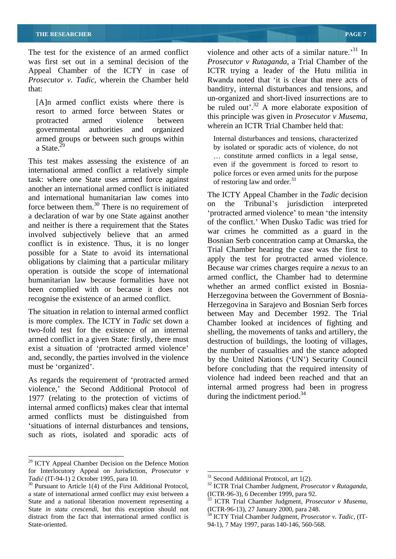The test for the existence of an armed conflict violence and other acts of a similar nature.<sup>31</sup> In was first set out in a seminal decision of the *Prosecutor v Rutaganda*, a Trial Chamber of the Appeal Chamber of the ICTY in case of ICTR trying a leader of the Hutu militia in *Prosecutor v. Tadic*, wherein the Chamber held Rwanda noted that 'it is clear that mere acts of that: banditry, internal disturbances and tensions, and

[A]n armed conflict exists where there is governmental authorities and organized armed groups or between such groups within

This test makes assessing the existence of an international armed conflict a relatively simple task: where one State uses armed force against another an international armed conflict is initiated and international humanitarian law comes into force between them.<sup>30</sup> There is no requirement of a declaration of war by one State against another and neither is there a requirement that the States involved subjectively believe that an armed conflict is in existence. Thus, it is no longer possible for a State to avoid its international obligations by claiming that a particular military operation is outside the scope of international humanitarian law because formalities have not been complied with or because it does not recognise the existence of an armed conflict.

armed conflict in a given State: firstly, there must exist a situation of 'protracted armed violence'

As regards the requirement of 'protracted armed violence,' the Second Additional Protocol of 1977 (relating to the protection of victims of internal armed conflicts) makes clear that internal armed conflicts must be distinguished from situations of internal disturbances and tensions, such as riots, isolated and sporadic acts of

resort to armed force between States or<br>this principle was given in *Prosecutor* v Musema, protracted armed violence between this principle was given in rosecutor v musemu, un-organized and short-lived insurrections are to be ruled out<sup> $32$ </sup>. A more elaborate exposition of this principle was given in *Prosecutor <sup>v</sup> Musema*, wherein an ICTR Trial Chamber held that:

a State.<sup>29</sup> **by** isolated or sporadic acts of violence, do not Internal disturbances and tensions, characterized ... constitute armed conflicts in a legal sense, even if the government is forced to resort to police forces or even armed units for the purpose of restoring law and order.<sup>33</sup>

The situation in relation to internal armed conflict between May and December 1992. The Trial is more complex. The ICTY in *Tadic* set down a Chamber looked at incidences of fighting and two-fold test for the existence of an internal shelling, the movements of tanks and artillery, the and, secondly, the parties involved in the violence by the United Nations ('UN') Security Council must be 'organized'. before concluding that the required intensity of The ICTY Appeal Chamber in the *Tadic* decision on the Tribunal's jurisdiction interpreted 'protracted armed violence' to mean 'the intensity of the conflict. When Dusko Tadic was tried for war crimes he committed as a guard in the Bosnian Serb concentration camp at Omarska, the Trial Chamber hearing the case was the first to apply the test for protracted armed violence. Because war crimes charges require a *nexus* to an armed conflict, the Chamber had to determine whether an armed conflict existed in Bosnia- Herzegovina between the Government of Bosnia- Herzegovina in Sarajevo and Bosnian Serb forces destruction of buildings, the looting of villages, the number of casualties and the stance adopted violence had indeed been reached and that an internal armed progress had been in progress during the indictment period.<sup>34</sup>

<sup>&</sup>lt;sup>29</sup> ICTY Appeal Chamber Decision on the Defence Motion for Interlocutory Appeal on Jurisdiction, *Prosecutor v*  $Tadić (IT-94-1)$  2 October 1995, para 10.

<sup>&</sup>lt;sup>30</sup> Pursuant to Article 1(4) of the First Additional Protocol,  $\frac{32}{2}$  ICTR Trial Chamber Judgment, *Prosecutor v Rutaganda*, a state of international armed conflict may exist between a (ICTR-96-3), 6 December 1999, p a state of international armed conflict may exist between a State and a national liberation movement representing a  $33$  ICTR Trial Chamber Judgment, *Prosecutor v Musema*, State *in statu crescendi*, but this exception should not (ICTR-96-13), 27 January 2000, para 248.<br>distract from the fact that international armed conflict is <sup>34</sup> ICTY Trial Chamber Judgment, *Prosecu* State *in statu crescendi*, but this exception should not (ICTR-96-13), 27 January 2000, para 248.<br>distract from the fact that international armed conflict is <sup>34</sup> ICTY Trial Chamber Judgment, *Prosecutor v. Tadic*, (IT-State-oriented. 94-1), 7 May 1997, paras 140-146, 560-568.

 <sup>31</sup> Second Additional Protocol, art 1(2). <sup>32</sup> ICTR Trial Chamber Judgment, *Prosecutor <sup>v</sup> Rutaganda,*

<sup>(</sup>ICTR-96-3), 6 December 1999, para 92. <sup>33</sup> ICTR Trial Chamber Judgment, *Prosecutor <sup>v</sup> Musema,*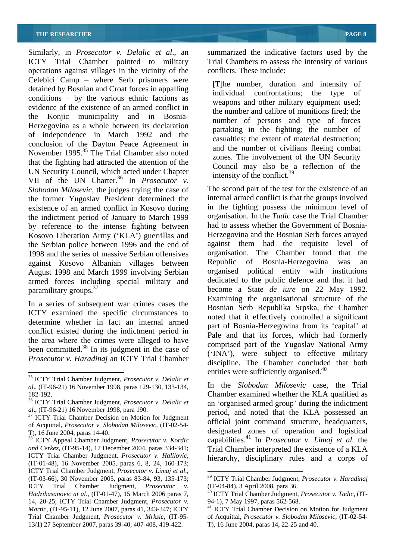Similarly, in *Prosecutor v. Delalic et al*., an summarized the indicative factors used by the ICTY Trial Chamber pointed to military Trial Chambers to assess the intensity of various operations against villages in the vicinity of the Celebici Camp  $-$  where Serb prisoners were detained by Bosnian and Croat forces in appalling individual confrontations; the type of conditions  $-$  by the various ethnic factions as evidence of the existence of an armed conflict in the Konjic municipality and in Bosnia-Herzegovina as a whole between its declaration of independence in March 1992 and the conclusion of the Dayton Peace Agreement in November 1995.<sup>35</sup> The Trial Chamber also noted that the fighting had attracted the attention of the UN Security Council, which acted under Chapter VII of the UN Charter.36 In *Prosecutor v. Slobodan Milosevic*, the judges trying the case of the former Yugoslav President determined the existence of an armed conflict in Kosovo during the indictment period of January to March 1999 by reference to the intense fighting between Kosovo Liberation Army ('KLA') guerrillas and the Serbian police between 1996 and the end of 1998 and the series of massive Serbian offensives organisation. The Chamber found that the against Kosovo Albanian villages between Republic of Bosnia-Herzegovina was an August 1998 and March 1999 involving Serbian armed forces including special military and

In a series of subsequent war crimes cases the ICTY examined the specific circumstances to determine whether in fact an internal armed conflict existed during the indictment period in the area where the crimes were alleged to have been committed.<sup>38</sup> In its judgment in the case of *Prosecutor v. Haradinaj* an ICTY Trial Chamber

of Acquittal, *Prosecutor v. Slobodan Milosevic*, (IT-02-54-

ICTY Trial Chamber Judgment, *Prosecutor v. Halilovic*, hierarchy, disciplinary rules and a corps of (IT-01-48), 16 November 2005, paras 6, 8, 24, 160-173; ICTY Trial Chamber Judgment, *Prosecutor v. Limaj et al.*,  $\frac{1}{39}$  ICTY Trial Chamber Judgment, *Prosecutor v. Haradinaj* (IT-03-66), 30 November 2005, paras 83-84, 93, 135-173; ICTY Trial Chamber Judgment, *Prosecutor v. Hadzihasanovic at al*., (IT-01-47), 15 March 2006 paras 7, 14, 20-25; ICTY Trial Chamber Judgment, *Prosecutor v.* Martic, (IT-95-11), 12 June 2007, paras 41, 343-347; ICTY <sup>41</sup> ICTY Trial Chamber Decision on Motion for Judgment 13/1) 27 September 2007, paras 39-40, 407-408, 419-422.

conflicts. These include:

[T]he number, duration and intensity of individual confrontations; the weapons and other military equipment used; the number and calibre of munitions fired; the number of persons and type of forces partaking in the fighting; the number of casualties; the extent of material destruction; and the number of civilians fleeing combat zones. The involvement of the UN Security Council may also be a reflection of the intensity of the conflict.<sup>39</sup>

paramilitary groups.37 become a State *de iure* on 22 May 1992. The second part of the test for the existence of an internal armed conflict is that the groups involved in the fighting possess the minimum level of organisation. In the *Tadic* case the Trial Chamber had to assess whether the Government of Bosnia- Herzegovina and the Bosnian Serb forces arrayed against them had the requisite level of Republic of Bosnia-Herzegovina was an organised political entity with institutions dedicated to the public defence and that it had Examining the organisational structure of the Bosnian Serb Republika Srpska, the Chamber noted that it effectively controlled a significant part of Bosnia-Herzegovina from its 'capital' at Pale and that its forces, which had formerly comprised part of the Yugoslav National Army  $('JNA')$ , were subject to effective military discipline. The Chamber concluded that both entities were sufficiently organised.<sup>40</sup>

182-192,<br><sup>36</sup> ICTY Trial Chamber Judgment, *Prosecutor v. Delalic et* an 'organised armed group' during the indictment *al.*, (IT-96-21) 16 November 1998, para 190. **37** ICTY Trial Chamber Decision on Motion for Judgment **period**, and noted that the KLA possessed an T), 16 June 2004, paras 14-40. <sup>38</sup> ICTY Appeal Chamber Judgment, *Prosecutor v. Kordic and Cerkez*, (IT-95-14), 17 December 2004, paras 334-341; Trial Chamber interpreted the existence of a KLA In the *Slobodan Milosevic* case, the Trial Chamber examined whether the KLA qualified as an 'organised armed group' during the indictment period, and noted that the KLA possessed an official joint command structure, headquarters, designated zones of operation and logistical capabilities.41 In *Prosecutor v. Limaj et al.* the hierarchy, disciplinary rules and a corps of

entities were sufficiently organised.<sup>40</sup><br><sup>35</sup> ICTY Trial Chamber Judgment, *Prosecutor v. Delalic et al*., (IT-96-21) 16 November 1998, paras 129-130, 133-134,

 <sup>39</sup> ICTY Trial Chamber Judgment, *Prosecutor v. Haradinaj*

<sup>&</sup>lt;sup>40</sup> ICTY Trial Chamber Judgment, *Prosecutor v. Tadic*, (IT-

Trial Chamber Judgment, *Prosecutor v. Mrksic*, (IT-95- of Acquittal, *Prosecutor v. Slobodan Milosevic*, (IT-02-54- 94-1), 7 May 1997, paras 562-568.<br><sup>41</sup> ICTY Trial Chamber Decision on Motion for Judgment T), 16 June 2004, paras 14, 22-25 and 40.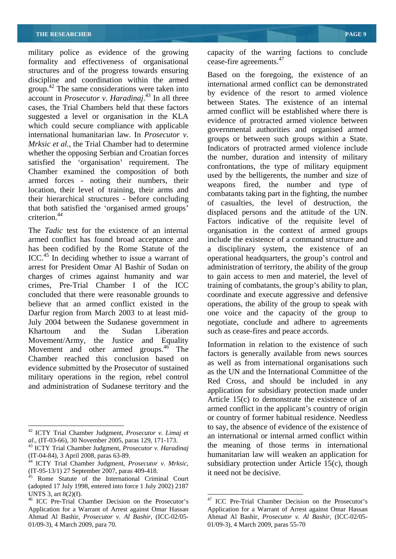military police as evidence of the growing capacity of the warring factions to conclude formality and effectiveness of organisational cease-fire agreements.<sup>47</sup> structures and of the progress towards ensuring discipline and coordination within the armed account in *Prosecutor v. Haradinaj*.43 In all three cases, the Trial Chambers held that these factors suggested a level or organisation in the KLA which could secure compliance with applicable international humanitarian law. In *Prosecutor v. Mrksic et al.*, the Trial Chamber had to determine<br>Indicators of protracted armed violence include whether the opposing Serbian and Croatian forces satisfied the 'organisation' requirement. The Chamber examined the composition of both armed forces - noting their numbers, their location, their level of training, their arms and their hierarchical structures - before concluding that both satisfied the 'organised armed groups' criterion  $44$ 

armed conflict has found broad acceptance and ICC.<sup>45</sup> In deciding whether to issue a warrant of arrest for President Omar Al Bashir of Sudan on Khartoum and the Sudan Liberation such as cease-fires and peace accords. Movement/Army, the Justice and Equality Movement and other armed groups.<sup>46</sup> The Chamber reached this conclusion based on evidence submitted by the Prosecutor of sustained military operations in the region, rebel control and administration of Sudanese territory and the

cease-fire agreements.<sup>47</sup>

group.<sup>42</sup> The same considerations were taken into the avidance of the recort to armed violence criterion.<sup>44</sup> and the displaced persons and the attitude of the UN.<br>Factors indicative of the requisite level of The *Tadic* test for the existence of an internal organisation in the context of armed groups has been codified by the Rome Statute of the a disciplinary system, the existence of an arrest for President Omar Al Bashir of Sudan on administration of territory, the ability of the group charges of crimes against humanity and war to gain access to men and materiel, the level of crimes, Pre-Trial Chamber I of the ICC training of combatants, the group's ability to plan, concluded that there were reasonable grounds to coordinate and execute aggressive and defensive believe that an armed conflict existed in the operations, the ability of the group to speak with Darfur region from March 2003 to at least mid- one voice and the capacity of the group to July 2004 between the Sudanese government in negotiate, conclude and adhere to agreements Based on the foregoing, the existence of an international armed conflict can be demonstrated by evidence of the resort to armed violence between States. The existence of an internal armed conflict will be established where there is evidence of protracted armed violence between governmental authorities and organised armed groups or between such groups within a State.<br>Indicators of protracted armed violence include the number, duration and intensity of military confrontations, the type of military equipment used by the belligerents, the number and size of weapons fired, the number and type of combatants taking part in the fighting, the number of casualties, the level of destruction, the displaced persons and the attitude of the UN. include the existence of a command structure and operational headquarters, the group's control and

to say, the absence of evidence of the existence of<br><sup>42</sup> ICTY Trial Chamber Judgment, *Prosecutor v. Limaj et* an international or internal armed conflict within *al*., (IT-03-66), 30 November 2005, paras 129, 171-173. <sup>43</sup> ICTY Trial Chamber Judgment, *Prosecutor v. Haradinaj* (IT-04-84), 3 April 2008, paras 63-89. **44** ICTY Trial Chamber Judgment, *Prosecutor v. Mrksic*, subsidiary protection under Article 15(c), though (IT-95-13/1) 27 September 2007, paras 409-418. 45 Rome Statute of the Int Information in relation to the existence of such factors is generally available from news sources as well as from international organisations such as the UN and the International Committee of the Red Cross, and should be included in any application for subsidiary protection made under Article 15(c) to demonstrate the existence of an armed conflict in the applicant's country of origin or country of former habitual residence. Needless to say, the absence of evidence of the existence of an international or internal armed conflict within the meaning of those terms in international humanitarian law will weaken an application for subsidiary protection under Article 15(c), though it need not be decisive.

<sup>(</sup>adopted 17 July 1998, entered into force 1 July 2002) 2187

Ahmad Al Bashir, *Prosecutor v. Al Bashir*, (ICC-02/05-<br>01/09-3), 4 March 2009, para 70. (ICC-02/05-01/09-3), 4 March 2009, paras 55-70

UNTS 3, art 8(2)(f).<br><sup>46</sup> ICC Pre-Trial Chamber Decision on the Prosecutor's <sup>47</sup> ICC Pre-Trial Chamber Decision on the Prosecutor's Application for a Warrant of Arrest against Omar Hassan Application for a Warrant of Arrest against Omar Hassan <sup>47</sup> ICC Pre-Trial Chamber Decision on the Prosecutor's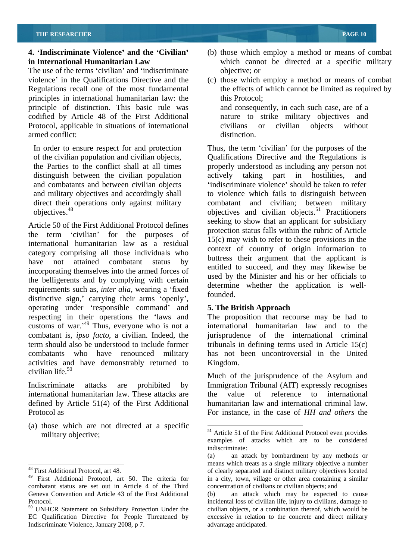The use of the terms 'civilian' and 'indiscriminate objective: or principles in international humanitarian law: the principle of distinction. This basic rule was codified by Article 48 of the First Additional Protocol, applicable in situations of international civilians or civilian objects without

Article 50 of the First Additional Protocol defines the term 'civilian' for the purposes of international humanitarian law as a residual category comprising all those individuals who have not attained combatant status by incorporating themselves into the armed forces of the belligerents and by complying with certain requirements such as, *inter alia*, wearing a 'fixed determined. distinctive sign,' carrying their arms 'openly', operating under 'responsible command' and 5. The British Approach respecting in their operations the 'laws and customs of war. <sup>49</sup> Thus, everyone who is not a combatant is, *ipso facto*, a civilian. Indeed, the term should also be understood to include former tribunals in defining terms used in Article 15(c) combatants who have renounced military has not been uncontroversial in the United activities and have demonstrably returned to civilian life.50 Much of the jurisprudence of the Asylum and

international humanitarian law. These attacks are defined by Article 51(4) of the First Additional Protocol as For instance, in the case of *HH and others* the

(a) those which are not directed at a specific military objective;<br>
<sup>51</sup> Article 51 of the First Additional Protocol even provides

- **4. Indiscriminate Violence' and the 'Civilian'** (b) those which employ a method or means of combat **in International Humanitarian Law which cannot be directed at a specific military** objective; or
- violence' in the Qualifications Directive and the (c) those which employ a method or means of combat Regulations recall one of the most fundamental the effects of which cannot be limited as required by armed conflict: this Protocol; and consequently, in each such case, are of a nature to strike military objectives and civilians or civilian objects without distinction.

In order to ensure respect for and protection Thus, the term 'civilian' for the purposes of the of the civilian population and civilian objects, Qualifications Directive and the Regulations is the Parties to the conflict shall at all times properly understood as including any person not distinguish between the civilian population actively taking part in hostilities, and and combatants and between civilian objects indiscriminate violence' should be taken to refer and military objectives and accordingly shall to violence which fails to distinguish between direct their operations only against military combatant and civilian; between military objectives.<sup>48</sup> objectives and civilian objects.<sup>51</sup> Practitioners actively taking part in hostilities, and seeking to show that an applicant for subsidiary protection status falls within the rubric of Article 15(c) may wish to refer to these provisions in the context of country of origin information to buttress their argument that the applicant is entitled to succeed, and they may likewise be used by the Minister and his or her officials to determine whether the application is wellfounded.

## **5. The British Approach**

The proposition that recourse may be had to international humanitarian law and to the jurisprudence of the international criminal Kingdom.

Indiscriminate attacks are prohibited by Immigration Tribunal (AIT) expressly recognises value of reference to international humanitarian law and international criminal law.

<sup>49</sup> First Additional Protocol, art 50. The criteria for combatant status are set out in Article 4 of the Third Geneva Convention and Article 43 of the First Additional (b) an attack which may be expected to cause

Protocol. 50 UNHCR Statement on Subsidiary Protection Under the Indiscriminate Violence, January 2008, p 7.

<sup>&</sup>lt;sup>51</sup> Article 51 of the First Additional Protocol even provides examples of attacks which are to be considered indiscriminate:

The means which treats as a single military objective a number<br>
<sup>48</sup> First Additional Protocol, art 48.<br>
of clearly separated and distinct military objectives located (a) an attack by bombardment by any methods or means which treats as a single military objective a number in a city, town, village or other area containing a similar concentration of civilians or civilian objects; and

EC Qualification Directive for People Threatened by excessive in relation to the concrete and direct military incidental loss of civilian life, injury to civilians, damage to civilian objects, or a combination thereof, which would be advantage anticipated.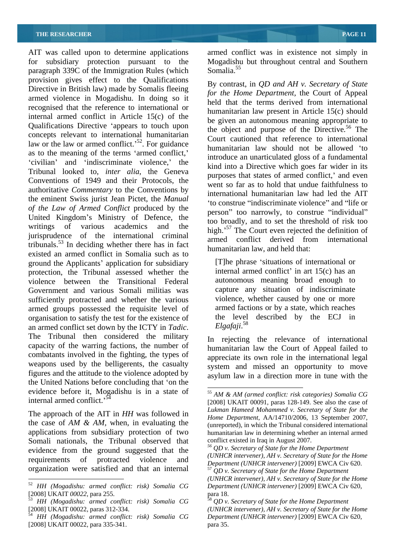AIT was called upon to determine applications armed conflict was in existence not simply in for subsidiary protection pursuant to the Mogadishu but throughout central and Southern paragraph 339C of the Immigration Rules (which Somalia.<sup>55</sup> provision gives effect to the Qualifications Directive in British law) made by Somalis fleeing armed violence in Mogadishu. In doing so it recognised that the reference to international or internal armed conflict in Article 15(c) of the Qualifications Directive 'appears to touch upon concepts relevant to international humanitarian law or the law or armed conflict.<sup>52</sup>. For guidance as to the meaning of the terms 'armed conflict,' 'civilian' and 'indiscriminate violence,' the Tribunal looked to, *inter alia*, the Geneva Conventions of 1949 and their Protocols, the authoritative *Commentary* to the Conventions by the eminent Swiss jurist Jean Pictet, the *Manual of the Law of Armed Conflict* produced by the United Kingdom's Ministry of Defence, the writings of various academics and the  $\frac{1}{2}$  high.<sup>57</sup> The Court even rejected the definition of jurisprudence of the international criminal tribunals.<sup>53</sup> In deciding whether there has in fact existed an armed conflict in Somalia such as to ground the Applicants' application for subsidiary protection, the Tribunal assessed whether the violence between the Transitional Federal Government and various Somali militias was sufficiently protracted and whether the various armed groups possessed the requisite level of armed faction contains a contract of the level organisation to satisfy the test for the existence of the level<br>an armed conflict set down by the ICTY in Tadic Elgafaii.<sup>58</sup> an armed conflict set down by the ICTY in *Tadic*.<br>The Tribunal then considered the military in rejecting the relevance of international capacity of the warring factions, the number of combatants involved in the fighting, the types of weapons used by the belligerents, the casualty figures and the attitude to the violence adopted by the United Nations before concluding that 'on the evidence before it, Mogadishu is in a state of<br>internal armed conflict.<sup>54</sup><br>[2008] IIKAIT 00091 paras 128-149 See also the case of

The approach of the AIT in *HH* was followed in the case of *AM & AM,* when, in evaluating the applications from subsidiary protection of two Somali nationals, the Tribunal observed that conflict existed in Iraq in August 2007. evidence from the ground suggested that the requirements of protracted violence and  $D$  (*UNHCR intervener*), AH v. secretary of state for the Hon<br>Department (*UNHCR intervener*) [2009] EWCA Civ 620. organization were satisfied and that an internal

Somalia.<sup>55</sup>

. For guidance humanitarian law should not be allowed to By contrast, in *QD and AH v. Secretary of State for the Home Department,* the Court of Appeal held that the terms derived from international humanitarian law present in Article 15(c) should be given an autonomous meaning appropriate to the object and purpose of the Directive*.*<sup>56</sup> The Court cautioned that reference to international introduce an unarticulated gloss of a fundamental kind into a Directive which goes far wider in its purposes that states of armed conflict,' and even went so far as to hold that undue faithfulness to international humanitarian law had led the AIT to construe "indiscriminate violence" and "life or person" too narrowly, to construe "individual" too broadly, and to set the threshold of risk too armed conflict derived from international humanitarian law, and held that:

[T]he phrase 'situations of international or internal armed conflict' in art  $15(c)$  has an autonomous meaning broad enough to capture any situation of indiscriminate violence, whether caused by one or more armed factions or by a state, which reaches described by the ECJ in *Elgafaji*.58

In rejecting the relevance of international humanitarian law the Court of Appeal failed to appreciate its own role in the international legal system and missed an opportunity to move asylum law in a direction more in tune with the

<sup>[2008]</sup> UKAIT 00022, para 335-341.

internal armed conflict.<sup>54</sup><br>[2008] UKAIT 00091, paras 128-149. See also the case of 55 *AM & AM (armed conflict: risk categories) Somalia CG Lukman Hameed Mohammed v. Secretary of State for the Home Department*, AA/14710/2006, 13 September 2007, (unreported), in which the Tribunal considered international humanitarian law in determining whether an internal armed

<sup>&</sup>lt;sup>56</sup> QD v. Secretary of State for the Home Department *(UNHCR intervener), AH v. Secretary of State for the Home*  <sup>57</sup> *OD v. Secretary of State for the Home Department* 

 <sup>52</sup> *HH (Mogadishu: armed conflict: risk) Somalia CG* [2008] UKAIT *00022*, para 255. <sup>53</sup> *HH (Mogadishu: armed conflict: risk) Somalia CG (UNHCR intervener), AH v. Secretary of State for the Home Department (UNHCR intervener)* [2009] EWCA Civ 620,

<sup>[2008]</sup> UKAIT 00022, paras 312-334. <sup>54</sup> *HH (Mogadishu: armed conflict: risk) Somalia CG* para 18. <sup>58</sup> *QD v. Secretary of State for the Home Department (UNHCR intervener), AH v. Secretary of State for the Home Department (UNHCR intervener)* [2009] EWCA Civ 620, para 35.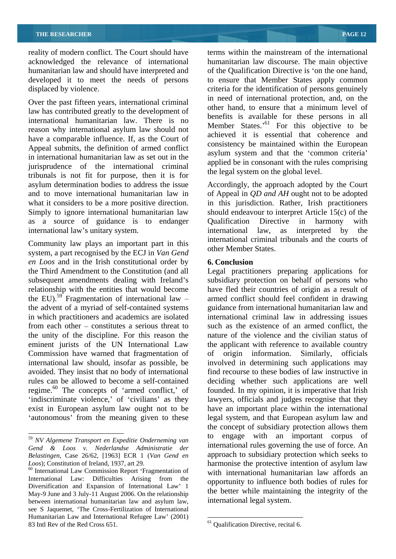reality of modern conflict. The Court should have acknowledged the relevance of international humanitarian law discourse. The main objective humanitarian law and should have interpreted and of the Qualification Directive is 'on the one hand, developed it to meet the needs of persons to ensure that Member States apply common

Over the past fifteen years, international criminal law has contributed greatly to the development of international humanitarian law. There is no<br>reason why international asylum law should not<br>Member States.<sup>,61</sup> For this objective to be reason why international asylum law should not have a comparable influence. If, as the Court of Appeal submits, the definition of armed conflict in international humanitarian law as set out in the jurisprudence of the international criminal tribunals is not fit for purpose, then it is for asylum determination bodies to address the issue Accordingly, the approach adopted by the Court and to move international humanitarian law in of Appeal in *QD and AH* ought not to be adopted what it considers to be a more positive direction. in this jurisdiction. Rather, Irish practitioners Simply to ignore international humanitarian law should endeavour to interpret Article 15(c) of the as a source of guidance is to endanger Qualification Directive in harmony with international law's unitary system. The international law, as interpreted by the

Community law plays an important part in this system, a part recognised by the ECJ in *Van Gend en Loos* and in the Irish constitutional order by the Third Amendment to the Constitution (and all Legal practitioners preparing applications for subsequent amendments dealing with Ireland's subsidiary protection on behalf of persons who relationship with the entities that would become have fled their countries of origin as a result of the EU).<sup>59</sup> Fragmentation of international law  $$ the advent of a myriad of self-contained systems in which practitioners and academics are isolated international criminal law in addressing issues from each other – constitutes a serious threat to such as the existence of an armed conflict, the the unity of the discipline. For this reason the nature of theviolence and the civilian status of eminent jurists of the UN International Law the applicant with reference to available country Commission have warned that fragmentation of international law should, insofar as possible, be involved in determining such applications may avoided. They insist that no body of international rules can be allowed to become a self-contained deciding whether such applications are well regime. $60$  The concepts of 'armed conflict,' of 'indiscriminate violence,' of 'civilians' as they exist in European asylum law ought not to be have an important place within the international 'autonomous' from the meaning given to these

displaced by violence. criteria for the identification of persons genuinely terms within the mainstream of the international in need of international protection, and, on the other hand, to ensure that a minimum level of benefits is available for these persons in all achieved it is essential that coherence and consistency be maintained within the European asylum system and that the 'common criteria' applied be in consonant with the rules comprising the legal system on the global level.

> Qualification Directive in harmony with international law, as interpreted by the international criminal tribunals and the courts of other Member States.

## **6. Conclusion**

*Loos*); Constitution of Ireland, 1937, art 29. harmonise the protective intention of asylum law<br><sup>60</sup> International Law Commission Report 'Fragmentation of with international humanitarian law affords an armed conflict should feel confident in drawing guidance from international humanitarian law and of origin information. Similarly, officials find recourse to these bodies of law instructive in founded. In my opinion, it is imperative that Irish lawyers, officials and judges recognise that they legal system, and that European asylum law and the concept of subsidiary protection allows them engage with an important corpus of international rules governing the use of force. An approach to subsidiary protection which seeks to harmonise the protective intention of asylum law with international humanitarian law affords an opportunity to influence both bodies of rules for the better while maintaining the integrity of the international legal system.

 <sup>59</sup> *NV Algemene Transport en Expeditie Onderneming van Gend & Loos v. Nederlandse Administratie der Belastingen*, Case 26/62, [1963] ECR 1 (*Van Gend en*

International Law: Difficulties Arising from the Diversification and Expansion of International Law' 1 May-9 June and 3 July-11 August 2006. On the relationship between international humanitarian law and asylum law, see S Jaquemet, The Cross-Fertilization of International Humanitarian Law and International Refugee Law' (2001) Humanitarian Law and International Refugee Law' (2001)<br>83 Intl Rev of the Red Cross 651.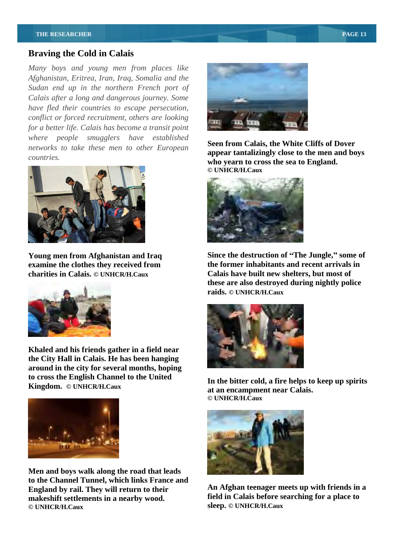## **Braving the Cold in Calais**

*Many boys and young men from places like Afghanistan, Eritrea, Iran, Iraq, Somalia and the Sudan end up in the northern French port of Calais after a long and dangerous journey. Some have fled their countries to escape persecution, conflict or forced recruitment, others are looking for a better life. Calais has become a transit point where people smugglers have established networks to take these men to other European*





**Khaled and his friends gather in a field near the City Hall in Calais. He has been hanging around in the city for several months, hoping to cross the English Channel to the United** 



**Men and boys walk along the road that leads to the Channel Tunnel, which links France and England by rail. They will return to their makeshift settlements in a nearby wood. https://educational/inferrection**<br> **example: o** UNHCR/H.Caux<br> **example: o** UNHCR/H.Caux **© UNHCR/H.Caux**



*countries.* **who yearn to cross the sea to England. Seen from Calais, the White Cliffs of Dover appear tantalizingly close to the men and boys © UNHCR/H.Caux**



**Young men from Afghanistan and Iraq Since the destruction of The Jungle, some of examine the clothes they received from the former inhabitants and recent arrivals in charities in Calais. © UNHCR/H.Caux Calais have built new shelters, but most of these are also destroyed during nightly police raids. © UNHCR/H.Caux**



**Kingdom. © UNHCR/H.Caux In the bitter cold, a fire helps to keep up spirits at an encampment near Calais. © UNHCR/H.Caux**



**An Afghan teenager meets up with friends in a field in Calais before searching for a place to sleep. © UNHCR/H.Caux**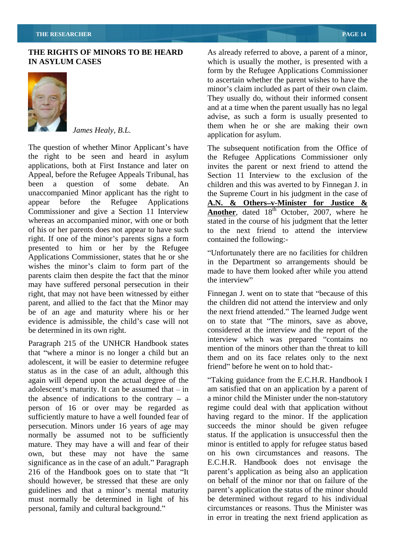

## *James Healy, B.L.*

The question of whether Minor Applicant's have The subsequent notification from the Office of the right to be seen and heard in asylum the Refugee Applications Commissioner only applications, both at First Instance and later on invites the parent or next friend to attend the Appeal, before the Refugee Appeals Tribunal, has Section 11 Interview to the exclusion of the been a question of some debate. An children and this was averted to by Finnegan J. in unaccompanied Minor applicant has the right to the Supreme Court in his judgment in the case of appear before the Refugee Applications **A.N. & Others v-Minister for Justice &** Commissioner and give a Section 11 Interview **Another**, dated 18<sup>th</sup> October, 2007, where he whereas an accompanied minor, with one or both stated in the course of his judgment that the letter of his or her parents does not appear to have such to the next friend to attend the interview right. If one of the minor's parents signs a form presented to him or her by the Refugee Applications Commissioner, states that he or she wishes the minor's claim to form part of the parents claim then despite the fact that the minor<br>the interview" may have suffered personal persecution in their right, that may not have been witnessed by either parent, and allied to the fact that the Minor may be of an age and maturity where his or her **PERRY INTERNATION CONSISTS TO BE HEARED** As decay option of a minor of a minor of a minor of a minor of a minor of a minor of a minor of a minor of a minor of a minor of a minor of a minor of a minor of a minor of a mino

Paragraph 215 of the UNHCR Handbook states that where a minor is no longer a child but an adolescent, it will be easier to determine refugee status as in the case of an adult, although this again will depend upon the actual degree of the the absence of indications to the contrary  $-$  a person of 16 or over may be regarded as persecution. Minors under 16 years of age may normally be assumed not to be sufficiently own, but these may not have the same should however, be stressed that these are only must normally be determined in light of his

**THE RIGHTS OF MINORS TO BE HEARD** As already referred to above, a parent of a minor, **IN ASYLUM CASES** which is usually the mother, is presented with a form by the Refugee Applications Commissioner to ascertain whether the parent wishes to have the minor's claim included as part of their own claim. They usually do, without their informed consent and at a time when the parent usually has no legal advise, as such a form is usually presented to them when he or she are making their own application for asylum.

contained the following:-

Unfortunately there are no facilities for children in the Department so arrangements should be made to have them looked after while you attend the interview

evidence is admissible, the child's case will not on to state that "The minors, save as above, be determined in its own right. considered at the interview and the report of the Finnegan J. went on to state that "because of this the children did not attend the interview and only the next friend attended." The learned Judge went interview which was prepared "contains no mention of the minors other than the threat to kill them and on its face relates only to the next friend" before he went on to hold that:-

adolescent's maturity. It can be assumed that  $-$  in am satisfied that on an application by a parent of sufficiently mature to have a well founded fear of having regard to the minor. If the application mature. They may have a will and fear of their minor is entitled to apply for refugee status based significance as in the case of an adult. Paragraph E.C.H.R. Handbook does not envisage the 216 of the Handbook goes on to state that "It parent's application as being also an application guidelines and that a minor's mental maturity parent's application the status of the minor should Taking guidance from the E.C.H.R. Handbook I a minor child the Minister under the non-statutory regime could deal with that application without succeeds the minor should be given refugee status. If the application is unsuccessful then the on his own circumstances and reasons. The on behalf of the minor nor that on failure of the be determined without regard to his individual circumstances or reasons. Thus the Minister was in error in treating the next friend application as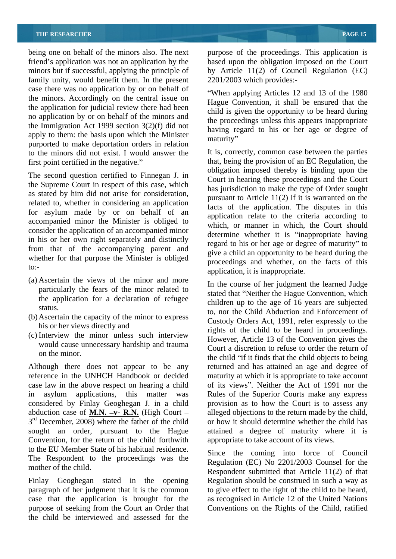being one on behalf of the minors also. The next purpose of the proceedings. This application is family unity, would benefit them. In the present case there was no application by or on behalf of the minors. Accordingly on the central issue on the application for judicial review there had been no application by or on behalf of the minors and the Immigration Act 1999 section 3(2)(f) did not apply to them: the basis upon which the Minister maturity" purported to make deportation orders in relation to the minors did not exist. I would answer the

The second question certified to Finnegan J. in the Supreme Court in respect of this case, which as stated by him did not arise for consideration, related to, whether in considering an application for asylum made by or on behalf of an accompanied minor the Minister is obliged to consider the application of an accompanied minor in his or her own right separately and distinctly from that of the accompanying parent and whether for that purpose the Minister is obliged

- (a) Ascertain the views of the minor and more particularly the fears of the minor related to the application for a declaration of refugee
- (b)Ascertain the capacity of the minor to express
- (c) Interview the minor unless such interview would cause unnecessary hardship and trauma

Convention, for the return of the child forthwith to the EU Member State of his habitual residence. The Respondent to the proceedings was the

case that the application is brought for the purpose of seeking from the Court an Order that Conventions on the Rights of the Child, ratifiedthe child be interviewed and assessed for the

friend's application was not an application by the based upon the obligation imposed on the Court minors but if successful, applying the principle of by Article 11(2) of Council Regulation (EC) 2201/2003 which provides:-

> When applying Articles 12 and 13 of the 1980 Hague Convention, it shall be ensured that the child is given the opportunity to be heard during the proceedings unless this appears inappropriate having regard to his or her age or degree of maturity" and the set of the set of the set of the set of the set of the set of the set of the set of the set of the set of the set of the set of the set of the set of the set of the set of the set of the set of the set of

first point certified in the negative. that, being the provision of an EC Regulation, the to:-<br>application, it is inappropriate. It is, correctly, common case between the parties obligation imposed thereby is binding upon the Court in hearing these proceedings and the Court has jurisdiction to make the type of Order sought pursuant to Article 11(2) if it is warranted on the facts of the application. The disputes in this application relate to the criteria according to which, or manner in which, the Court should determine whether it is "inappropriate having regard to his or her age or degree of maturity" to give a child an opportunity to be heard during the proceedings and whether, on the facts of this

status.<br>
to, nor the Child Abduction and Enforcement of his or her views directly and<br>
rights of the child to be heard in proceedings. on the minor.<br>the child "if it finds that the child objects to being Although there does not appear to be any returned and has attained an age and degree of reference in the UNHCH Handbook or decided maturity at which it is appropriate to take account case law in the above respect on hearing a child of its views". Neither the Act of 1991 nor the in asylum applications, this matter was Rules of the Superior Courts make any express considered by Finlay Geoghegan J. in a child provision as to how the Court is to assess any abduction case of **M.N.** -v- R.N. (High Court - alleged objections to the return made by the child,  $3<sup>rd</sup>$  December, 2008) where the father of the child or how it should determine whether the child has sought an order, pursuant to the Hague attained a degree of maturity where it is In the course of her judgment the learned Judge stated that "Neither the Hague Convention, which children up to the age of 16 years are subjected Custody Orders Act, 1991, refer expressly to the However, Article 13 of the Convention gives the Court a discretion to refuse to order the return of or how it should determine whether the child has appropriate to take account of its views.

mother of the child.<br>
Respondent submitted that Article 11(2) of that Finlay Geoghegan stated in the opening Regulation should be construed in such away as paragraph of her judgment that it is the common to give effect to the right of the child to be heard, Since the coming into force of Council Regulation (EC) No 2201/2003 Counsel for the as recognised in Article 12 of the United Nations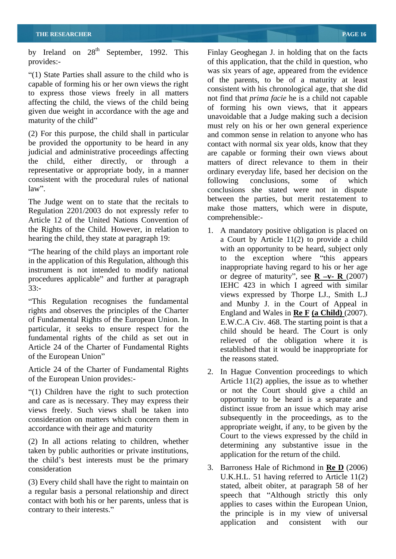by Ireland on  $28<sup>th</sup>$  September, 1992. This

(1) State Parties shall assure to the child who is capable of forming his or her own views the right to express those views freely in all matters affecting the child, the views of the child being given due weight in accordance with the age and

the child, either directly, or through a consistent with the procedural rules of national following conclusions, some of which

The Judge went on to state that the recitals to Regulation 2201/2003 do not expressly refer to make those mat Article 12 of the United Nations Convention of the Rights of the Child. However, in relation to 1. A mandatory positive obligation is placed on

"The hearing of the child plays an important role  $\frac{W_1}{W_2}$  in the explication of this Resultion eltheral this in the application of this Regulation, although this instrument is not intended to modify national procedures applicable" and further at paragraph

This Regulation recognises the fundamental rights and observes the principles of the Charter of Fundamental Rights of the European Union. In particular, it seeks to ensure respect for the fundamental rights of the child as set out in Article 24 of the Charter of Fundamental Rights

Article 24 of the Charter of Fundamental Rights

(1) Children have the right to such protection and care as is necessary. They may express their views freely. Such views shall be taken into accordance with their age and maturity

(2) In all actions relating to children, whether taken by public authorities or private institutions, the child's best interests must be the primary

(3) Every child shall have the right to maintain on a regular basis a personal relationship and direct contact with both his or her parents, unless that is

<sup>th</sup> September, 1992. This Finlay Geoghegan J. in holding that on the facts provides:- of this application, that the child in question, who maturity of the child" and the contract of the contract of the contract of the contract of the contract of the contract of the contract of the contract of the contract of the contract of the contract of the contract of the (2) For this purpose, the child shall in particular and common sense in relation to anyone who has be provided the opportunity to be heard in any contact with normal six year olds, know that they judicial and administrative proceedings affecting are capable or forming their own views about representative or appropriate body, in a manner ordinary everyday life, based her decision on the law". Conclusions she stated were not in dispute was six years of age, appeared from the evidence of the parents, to be of a maturity at least consistent with his chronological age, that she did not find that *prima facie* he is a child not capable of forming his own views, that it appears unavoidable that a Judge making such a decision must rely on his or her own general experience matters of direct relevance to them in their following conclusions, some of which between the parties, but merit restatement to make those matters, which were in dispute, comprehensible:-

- hearing the child, they state at paragraph 19: a Court by Article 11(2) to provide a child  $\text{I.133}:$ <br>33:of the European Union" by the reasons stated with an opportunity to be heard, subject only the exception where "this appears" inappropriate having regard to his or her age or degree of maturity", see  $\mathbf{R}$  -v-  $\mathbf{R}$  (2007) views expressed by Thorpe LJ., Smith L.J and Munby J. in the Court of Appeal in England and Wales in **Re F (a Child)** (2007). E.W.C.A Civ. 468. The starting point is that a child should be heard. The Court is only relieved of the obligation where it is established that it would be inappropriate for the reasons stated.
- of the European Union provides:- Article 11(2) applies, the issue as to whether consideration on matters which concern them in 2. In Hague Convention proceedings to which or not the Court should give a child an opportunity to be heard is a separate and distinct issue from an issue which may arise subsequently in the proceedings, as to the appropriate weight, if any, to be given by the Court to the views expressed by the child in determining any substantive issue in the application for the return of the child.
- consideration 3. Barroness Hale of Richmond in **Re D** (2006) contrary to their interests."<br>the principle is in my view of universal U.K.H.L. 51 having referred to Article 11(2) stated, albeit obiter, at paragraph 58 of her speech that "Although strictly this only applies to cases within the European Union, application and consistent with our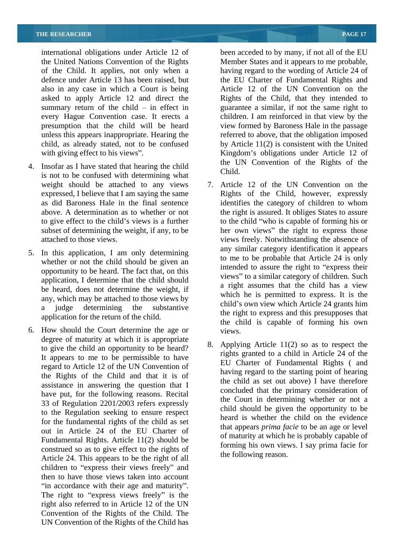international obligations under Article 12 of been acceded to by many, if not all of the EU the United Nations Convention of the Rights Member States and it appears to me probable, of the Child. It applies, not only when a having regard to the wording of Article 24 of defence under Article 13 has been raised, but the EU Charter of Fundamental Rights and also in any case in which a Court is being asked to apply Article 12 and direct the Rights of the Child, that they intended to summary return of the child  $-$  in effect in guarantee a similar, if not the same right to every Hague Convention case. It erects a children. I am reinforced in that view by the presumption that the child will be heard view formed by Baroness Hale in the passage unless this appears inappropriate. Hearing the child, as already stated, not to be confused by Article 11(2) is consistent with the United with giving effect to his views". Kingdom's obligations under Article 12 of

- 4. Insofar as I have stated that hearing the child child. is not to be confused with determining what
- 5. In this application, I am only determining whether or not the child should be given an opportunity to be heard. The fact that, on this application, I determine that the child should be heard, does not determine the weight, if any, which may be attached to those views by application for the return of the child.
- 6. How should the Court determine the age or degree of maturity at which it is appropriate to give the child an opportunity to be heard? It appears to me to be permissible to have regard to Article 12 of the UN Convention of the Rights of the Child and that it is of assistance in answering the question that I have put, for the following reasons. Recital 33 of Regulation 2201/2003 refers expressly to the Regulation seeking to ensure respect for the fundamental rights of the child as set out in Article 24 of the EU Charter of Fundamental Rights. Article 11(2) should be construed so as to give effect to the rights of Article 24. This appears to be the right of all children to "express their views freely" and then to have those views taken into account "in accordance with their age and maturity". The right to "express views freely" is the right also referred to in Article 12 of the UN Convention of the Rights of the Child. The UN Convention of the Rights of the Child has

Article 12 of the UN Convention on the

referred to above, that the obligation imposed

the UN Convention of the Rights of the

- weight should be attached to any views 7. Article 12 of the UN Convention on the expressed, I believe that I am saying the same Rights of the Child, however, expressly as did Baroness Hale in the final sentence identifies the category of children to whom above. A determination as to whether or not the right is assured. It obliges States to assure to give effect to the child's views is a further to the child "who is capable of forming his or subset of determining the weight, if any, to be her own views" the right to express those attached to those views. views freely. Notwithstanding the absence of a judge determining the substantive  $\frac{1}{2}$  the sixteen space and this proposes are that Child. any similar category identification it appears to me to be probable that Article 24 is only intended to assure the right to "express their views" to a similar category of children. Such a right assumes that the child has a view which he is permitted to express. It is the child's own view which Article 24 grants him the right to express and this presupposes that the child is capable of forming his own views.
	- Applying Article  $11(2)$  so as to respect the rights granted to a child in Article 24 of the EU Charter of Fundamental Rights ( and having regard to the starting point of hearing the child as set out above) I have therefore concluded that the primary consideration of the Court in determining whether or not a child should be given the opportunity to be heard is whether the child on the evidence that appears *prima facie* to be an age or level of maturity at which he is probably capable of forming his own views. I say prima facie for the following reason.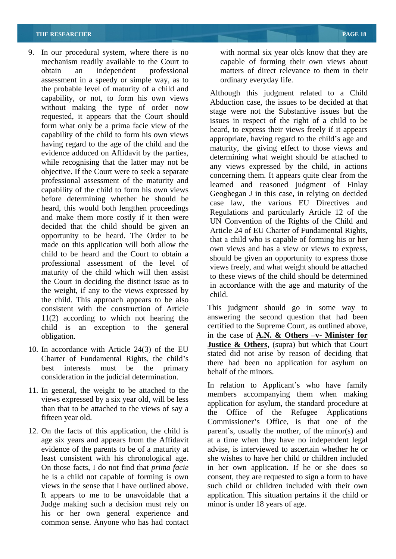- 9. In our procedural system, where there is no mechanism readily available to the Court to capable of forming their own views about obtain an independent professional matters of direct relevance to them in their assessment in a speedy or simple way, as to the probable level of maturity of a child and capability, or not, to form his own views without making the type of order now requested, it appears that the Court should form what only be a prima facie view of the capability of the child to form his own views having regard to the age of the child and the evidence adduced on Affidavit by the parties, while recognising that the latter may not be objective. If the Court were to seek a separate professional assessment of the maturity and capability of the child to form his own views before determining whether he should be heard, this would both lengthen proceedings and make them more costly if it then were decided that the child should be given an opportunity to be heard. The Order to be made on this application will both allow the child to be heard and the Court to obtain a professional assessment of the level of maturity of the child which will then assist the Court in deciding the distinct issue as to the weight, if any to the views expressed by  $\frac{m \text{ ac}}{\text{child}}$ . the child. This approach appears to be also<br>consistent with the construction of Article 11(2) according to which not hearing the child is an exception to the general
- 10. In accordance with Article 24(3) of the EU Charter of Fundamental Rights, the child's consideration in the judicial determination.
- 11. In general, the weight to be attached to the views expressed by a six year old, will be less
- evidence of the parents to be of a maturity at least consistent with his chronological age. Judge making such a decision must rely on his or her own general experience and common sense. Anyone who has had contact

with normal six year olds know that they are ordinary everyday life.

Although this judgment related to a Child Abduction case, the issues to be decided at that stage were not the Substantive issues but the issues in respect of the right of a child to be heard, to express their views freely if it appears appropriate, having regard to the child's age and maturity, the giving effect to those views and determining what weight should be attached to any views expressed by the child, in actions concerning them. It appears quite clear from the learned and reasoned judgment of Finlay Geoghegan J in this case, in relying on decided case law, the various EU Directives and Regulations and particularly Article 12 of the UN Convention of the Rights of the Child and Article 24 of EU Charter of Fundamental Rights, that a child who is capable of forming his or her own views and has a view or views to express, should be given an opportunity to express those views freely, and what weight should be attached to these views of the child should be determined in accordance with the age and maturity of the child.

consistent with the construction of Article This judgment should go in some way to obligation. in the case of **A.N. & Others v- Minister for** best interests must be the primary hobolf of the minors answering the second question that had been certified to the Supreme Court, as outlined above, **Justice & Others**, (supra) but which that Court stated did not arise by reason of deciding that there had been no application for asylum on behalf of the minors.

than that to be attached to the views of say a<br>the Office of the Refugee Applications fifteen year old.<br>
Commissioner's Office, is that one of the 12. On the facts of this application, the child is parent's, usually the mother, of the minor(s) and age six years and appears from the Affidavit at a time when they have no independent legal On those facts, I do not find that *prima facie* in her own application. If he or she does so he is a child not capable of forming is own consent, they are requested to sign a form to have views in the sense that I have outlined above. Such child or children included with their own It appears to me to be unavoidable that a application. This situation pertains if the child or In relation to Applicant's who have family members accompanying them when making application for asylum, the standard procedure at Office of the Refugee advise, is interviewed to ascertain whether he or she wishes to have her child or children included minor is under 18 years of age.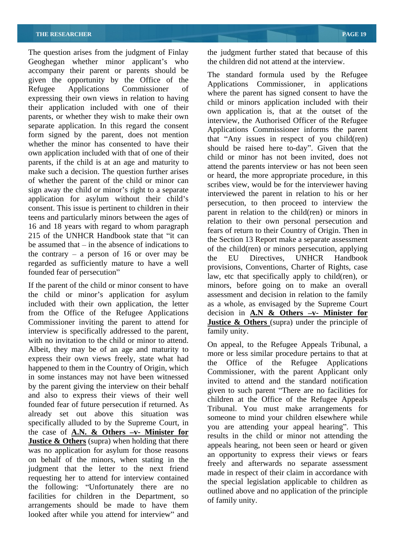The question arises from the judgment of Finlay Geoghegan whether minor applicant's who accompany their parent or parents should be given the opportunity by the Office of the expressing their own views in relation to having their application included with one of their parents, or whether they wish to make their own separate application. In this regard the consent form signed by the parent, does not mention whether the minor has consented to have their own application included with that of one of their parents, if the child is at an age and maturity to make such a decision. The question further arises of whether the parent of the child or minor can sign away the child or minor's right to a separate application for asylum without their child's consent. This issue is pertinent to children in their teens and particularly minors between the ages of 16 and 18 years with regard to whom paragraph 215 of the UNHCR Handbook state that "it can be assumed that  $-$  in the absence of indications to the contrary  $-$  a person of 16 or over may be  $\frac{60 \text{ ft}}{2}$  by the EU Directives. UNHCR Handbook regarded as sufficiently mature to have a well

If the parent of the child or minor consent to have interview is specifically addressed to the parent, family unity. with no invitation to the child or minor to attend. Albeit, they may be of an age and maturity to express their own views freely, state what had<br>the Office of the Refugee Applications happened to them in the Country of Origin, which in some instances may not have been witnessed by the parent giving the interview on their behalf and also to express their views of their well founded fear of future persecution if returned. As already set out above this situation was specifically alluded to by the Supreme Court, in the case of **A.N. & Others v- Minister for Justice & Others** (supra) when holding that there was no application for asylum for those reasons on behalf of the minors, when stating in the judgment that the letter to the next friend requesting her to attend for interview contained the following: Unfortunately there are no facilities for children in the Department, so arrangements should be made to have them looked after while you attend for interview" and

the judgment further stated that because of this the children did not attend at the interview.

Refugee Applications Commissioner of where the parent has signed consent to have the founded fear of persecution law, etc that specifically apply to child(ren), or the child or minor's application for asylum assessment and decision in relation to the family included with their own application, the letter as a whole, as envisaged by the Supreme Court from the Office of the Refugee Applications decision in **A.N & Others v- Minister for** Commissioner inviting the parent to attend for **Justice & Others** (supra) under the principle of The standard formula used by the Refugee Applications Commissioner, in applications child or minors application included with their own application is, that at the outset of the interview, the Authorised Officer of the Refugee Applications Commissioner informs the parent that "Any issues in respect of you child(ren) should be raised here to-day". Given that the child or minor has not been invited, does not attend the parents interview or has not been seen or heard, the more appropriate procedure, in this scribes view, would be for the interviewer having interviewed the parent in relation to his or her persecution, to then proceed to interview the parent in relation to the child(ren) or minors in relation to their own personal persecution and fears of return to their Country of Origin. Then in the Section 13 Report make a separate assessment of the child(ren) or minors persecution, applying the EU Directives, UNHCR Handbook provisions, Conventions, Charter of Rights, case minors, before going on to make an overall family unity.

> On appeal, to the Refugee Appeals Tribunal, a more or less similar procedure pertains to that at Office of the Refugee Commissioner, with the parent Applicant only invited to attend and the standard notification given to such parent There are no facilities for children at the Office of the Refugee Appeals Tribunal. You must make arrangements for someone to mind your children elsewhere while you are attending your appeal hearing". This results in the child or minor not attending the appeals hearing, not been seen or heard or given an opportunity to express their views or fears freely and afterwards no separate assessment made in respect of their claim in accordance with the special legislation applicable to children as outlined above and no application of the principle of family unity.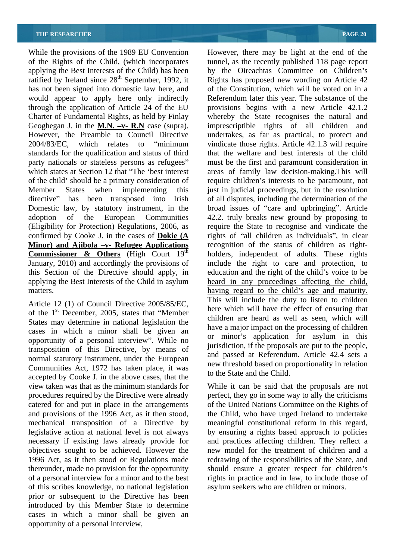ratified by Ireland since 28<sup>th</sup> September, 1992, it has not been signed into domestic law here, and Geoghegan J. in the  $M.N. -v$ -  $R.N.$  case (supra). standards for the qualification and status of third which states at Section 12 that "The 'best interest **Minor) and Ajibola v- Refugee Applications Commissioner & Others** (High Court 19

Article 12 (1) of Council Directive 2005/85/EC, States may determine in national legislation the cases in which a minor shall be given an opportunity of a personal interview". While no transposition of this Directive, by means of normal statutory instrument, under the European Communities Act, 1972 has taken place, it was accepted by Cooke J. in the above cases, that the view taken was that as the minimum standards for While it can be said that the proposals are not necessary if existing laws already provide for of this scribes knowledge, no national legislation prior or subsequent to the Directive has been introduced by this Member State to determine cases in which a minor shall be given an opportunity of a personal interview,

While the provisions of the 1989 EU Convention However, there may be light at the end of the of the Rights of the Child, (which incorporates tunnel, as the recently published 118 page report applying the Best Interests of the Child) has been by the Oireachtas Committee on Children's <sup>th</sup> September, 1992, it Rights has proposed new wording on Article 42 would appear to apply here only indirectly Referendum later this year. The substance of the through the application of Article 24 of the EU provisions begins with a new Article 42.1.2 Charter of Fundamental Rights, as held by Finlay whereby the State recognises the natural and However, the Preamble to Council Directive undertakes, as far as practical, to protect and 2004/83/EC, which relates to "minimum vindicate those rights. Article 42.1.3 will require party nationals or stateless persons as refugees" must be the first and paramount consideration in of the child' should be a primary consideration of require children's interests to be paramount, not Member States when implementing this just in judicial proceedings, but in the resolution directive" has been transposed into Irish of all disputes, including the determination of the Domestic law, by statutory instrument, in the broad issues of "care and upbringing". Article adoption of the European Communities 42.2. truly breaks new ground by proposing to (Eligibility for Protection) Regulations, 2006, as require the State to recognise and vindicate the confirmed by Cooke J. in the cases of **Dokie (A** ights of "all children as individuals", in clear holders, independent of adults. These rights January, 2010) and accordingly the provisions of include the right to care and protection, to this Section of the Directive should apply, in education and the right of the child's voice to be applying the Best Interests of the Child in asylum beard in any proceedings affecting the child, matters. The same is a set of the child in the child s age and maturity. of the  $1<sup>st</sup>$  December, 2005, states that "Member" here which will have the effect of ensuring that of the Constitution, which will be voted on in a imprescriptible rights of all children and that the welfare and best interests of the child areas of family law decision-making.This will recognition of the status of children as right-holders, independent of adults. These rights This will include the duty to listen to children here which will have the effect of ensuring that children are heard as well as seen, which will have a major impact on the processing of children or minor's application for asylum in this jurisdiction, if the proposals are put to the people, and passed at Referendum. Article 42.4 sets a new threshold based on proportionality in relation to the State and the Child.

procedures required by the Directive were already perfect, they go in some way to ally the criticisms catered for and put in place in the arrangements of the United Nations Committee on the Rights of and provisions of the 1996 Act, as it then stood, the Child, who have urged Ireland to undertake mechanical transposition of a Directive by meaningful constitutional reform in this regard, legislative action at national level is not always by ensuring a rights based approach to policies objectives sought to be achieved. However the new model for the treatment of children and a 1996 Act, as it then stood or Regulations made redrawing of the responsibilities of the State, and thereunder, made no provision for the opportunity should ensure a greater respect for children's of a personal interview for a minor and to the best rights in practice and in law, to include those of and practices affecting children. They reflect a asylum seekers who are children or minors.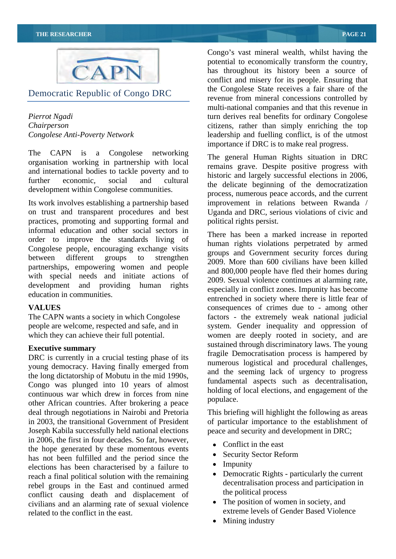

Democratic Republic of Congo DRC

The CAPN is a Congolese networking  $\tau_{\text{ho}}$  consequently under probability in DPC organisation working in partnership with local and international bodies to tackle poverty and to development within Congolese communities.

on trust and transparent procedures and best Uganda and DRC, serious violations of civic and practices, promoting and supporting formal and informal education and other social sectors in order to improve the standards living of Congolese people, encouraging exchange visits partnerships, empowering women and people with special needs and initiate actions of

DRC is currently in a crucial testing phase of its young democracy. Having finally emerged from the long dictatorship of Mobutu in the mid 1990s, Congo was plunged into 10 years of almost continuous war which drew in forces from nine<br>other African countries. After heckering a necessary other African countries. After brokering a peace deal through negotiations in Nairobi and Pretoria This briefing will highlight the following as areas in 2003, the transitional Government of President of particular importance to the establishment of Joseph Kabila successfully held national elections in 2006, the first in four decades. So far, however, the hope generated by these momentous events<br>because these security Sector Reform has not been fulfilled and the period since the security is allections has been characterised by a failure to **Figure** elections has been characterised by a failure to reach a final political solution with the remaining rebel groups in the East and continued armed conflict causing death and displacement of civilians and an alarming rate of sexual violence related to the conflict in the east. extreme levels of Gender Based Violence

*Pierrot Ngadi* turn derives real benefits for ordinary Congolese *Chairperson* citizens, rather than simply enriching the top *Congolese Anti-Poverty Network* leadership and fuelling conflict, is of the utmost Congo's vast mineral wealth, whilst having the potential to economically transform the country, has throughout its history been a source of conflict and misery for its people. Ensuring that the Congolese State receives a fair share of the revenue from mineral concessions controlled by multi-national companies and that this revenue in importance if DRC is to make real progress.

further economic, social and cultural the delicate beginning of the democratization Its work involves establishing a partnership based improvement in relations between Rwanda / The general Human Rights situation in DRC remains grave. Despite positive progress with historic and largely successful elections in 2006, process, numerous peace accords, and the current political rights persist.

between different groups to strengthen  $\frac{1}{2009}$ . More than 600 civilians have been killed development and providing human rights especially in conflict zones. Impunity has become education in communities.<br>
entrenched in society where there is little fear of **VALUES** consequences of crimes due to - among other The CAPN wants a society in which Congolese factors - the extremely weak national judicial people are welcome, respected and safe, and in system. Gender inequality and oppression of which they can achieve their full potential. women are deeply rooted in society, and are **Executive summary**<br> **Executive summary**<br> **Executive summary**<br> **Executive summary**<br> **Executive summary**<br> **Executive summary**<br> **Executive summary**<br> **Executive summary**<br> **Executive summary**<br> **Executive summary** There has been a marked increase in reported human rights violations perpetrated by armed groups and Government security forces during and 800,000 people have fled their homes during 2009. Sexual violence continues at alarming rate, sustained through discriminatory laws. The young numerous logistical and procedural challenges, and the seeming lack of urgency to progress fundamental aspects such as decentralisation, holding of local elections, and engagement of the populace.

peace and security and development in DRC;

- Conflict in the east
- Security Sector Reform
- Impunity and the state of the state of the state of the state of the state of the state of the state of the state of the state of the state of the state of the state of the state of the state of the state of the state of t
- Democratic Rights particularly the current decentralisation process and participation in the political process
- The position of women in society, and
- Mining industry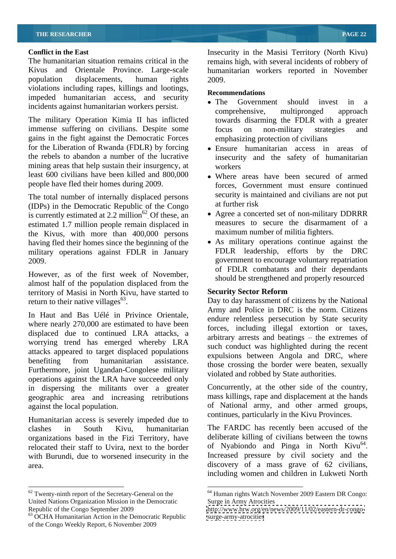The humanitarian situation remains critical in the remains high, with several incidents of robbery of Kivus and Orientale Province. Large-scale humanitarian workers reported in November population displacements, human rights violations including rapes, killings and lootings, impeded humanitarian access, and security • The Government should invest in a

immense suffering on civilians. Despite some focus on non-military strategies and gains in the fight against the Democratic Forces for the Liberation of Rwanda (FDLR) by forcing Ensure humanitarian access in areas of the rebels to abandon a number of the lucrative insecurity and the safety of humanitarian mining areas that help sustain their insurgency, at workers least 600 civilians have been killed and 800,000 Where areas have been secured of armed

The total number of internally displaced persons security is may<br>(IDPs) in the Democratic Republic of the Congo at further risk (IDPs) in the Democratic Republic of the Congo is currently estimated at 2.2 million<sup>62</sup> Of these, an estimated 1.7 million people remain displaced in measures to secure the disarmam<br>the Kivus with more than 400,000 persons maximum number of militia fighters. the Kivus, with more than 400,000 persons having fled their homes since the beginning of the military operations against FDLR in January

However, as of the first week of November, almost half of the population displaced from the territory of Masisi in North Kivu, have started to return to their native villages<sup>63</sup>. Day to day harassment of citizens by the National

where nearly 270,000 are estimated to have been displaced due to continued LRA attacks, a worrying trend has emerged whereby LRA attacks appeared to target displaced populations benefiting from humanitarian assistance. those crossing the border wave begins exually Furthermore, joint Ugandan-Congolese military operations against the LRA have succeeded only in dispersing the militants over a greater geographic area and increasing retributions

Humanitarian access is severely impeded due to clashes in South Kivu, humanitarian The FARDC has recently been accused of the organizations based in the Fizi Territory, have relocated their staff to Uvira, next to the border of Nyabiondo and Pinga in North Kivu<sup>64</sup>. with Burundi, due to worsened insecurity in the lincreased pressure by civil society and the area. discovery of a mass grave of 62 civilians,

**Conflict in the East** Insecurity in the Masisi Territory (North Kivu) 2009.

### **Recommendations**

- incidents against humanitarian workers persist.<br>
comprehensive, multipronged approach The military Operation Kimia II has inflicted towards disarming the FDLR with a greater The Government should invest in a comprehensive, multipronged approach focus on non-military strategies and emphasizing protection of civilians
	- workers and the state of the state of the state of the state of the state of the state of the state of the state of the state of the state of the state of the state of the state of the state of the state of the state of th
- people have fled their homes during 2009. forces, Government must ensure continued security is maintained and civilians are not put at further risk
	- . Of these, an Agree a concerted set of non-military DDRRR measures to secure the disarmament of a maximum number of militia fighters.
- 2009. government to encourage voluntary repatriation As military operations continue against the FDLR leadership, efforts by the DRC of FDLR combatants and their dependants should be strengthened and properly resourced

## **Security Sector Reform**

return to their native villages<sup>65</sup>.<br>In Haut and Bas Uélé in Privince Orientale,<br>In Haut and Bas Uélé in Privince Orientale,<br>Army and Police in DRC is the norm. Citizens Army and Police in DRC is the norm. Citizens endure relentless persecution by State security forces, including illegal extortion or taxes, arbitrary arrests and beatings  $-$  the extremes of such conduct was highlighted during the recent expulsions between Angola and DRC, where those crossing the border were beaten, sexually violated and robbed by State authorities.

against the local population. of National army, and other armed groups, Concurrently, at the other side of the country, mass killings, rape and displacement at the hands continues, particularly in the Kivu Provinces.

> deliberate killing of civilians between the towns 64 of Nyabiondo and Pinga in North Kivu<sup>64</sup>.<br>Increased pressure by civil society and the including women and children in Lukweti North

United Nations Organization Mission in the Democratic Republic of the Congo September 2009 <http://www.hrw.org/en/news/2009/11/02/eastern-dr-congo->

<sup>&</sup>lt;sup>63</sup> OCHA Humanitarian Action in the Democratic Republic of the Congo Weekly Report, 6 November 2009

 $\frac{62}{64}$  Twenty-ninth report of the Secretary-General on the  $\frac{64}{64}$  Human rights Watch November 2009 Eastern DR Congo: Surge in Army Atrocities

<surge-army-atrocities>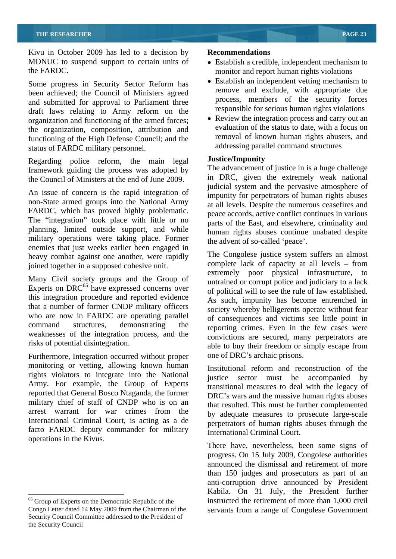Kivu in October 2009 has led to a decision by Recommendations MONUC to suspend support to certain units of  $\bullet$  Establish a credible, independent mechanism to the FARDC. monitor and report human rights violations

Some progress in Security Sector Reform has been achieved; the Council of Ministers agreed and submitted for approval to Parliament three draft laws relating to Army reform on the organization and functioning of the armed forces; the organization, composition, attribution and functioning of the High Defense Council; and the status of FARDC military personnel.

Regarding police reform, the main legal **Justice/Impunity** framework guiding the process was adopted by the Council of Ministers at the end of June 2009.

An issue of concern is the rapid integration of non-State armed groups into the National Army FARDC, which has proved highly problematic. The "integration" took place with little or no planning, limited outside support, and while military operations were taking place. Former enemies that just weeks earlier been engaged in heavy combat against one another, were rapidly joined together in a supposed cohesive unit.

Many Civil society groups and the Group of Experts on DRC<sup>65</sup> have expressed concerns over this integration procedure and reported evidence that a number of former CNDP military officers who are now in FARDC are operating parallel command structures, demonstrating the reporting crimes. Even in the few cases were weaknesses of the integration process, and the

Furthermore, Integration occurred without proper one of DRC's archaic prisons. monitoring or vetting, allowing known human rights violators to integrate into the National institutional vector must be accompanied by Army. For example, the Group of Experts reported that General Bosco Ntaganda, the former military chief of staff of CNDP who is on an arrest warrant for war crimes from the International Criminal Court, is acting as a de facto FARDC deputy commander for military operations in the Kivus.

## **Recommendations**

- 
- Establish an independent vetting mechanism to remove and exclude, with appropriate due process, members of the security forces responsible for serious human rights violations
- Review the integration process and carry out an evaluation of the status to date, with a focus on removal of known human rights abusers, and addressing parallel command structures

## **Justice/Impunity**

The advancement of justice in is a huge challenge in DRC, given the extremely weak national judicial system and the pervasive atmosphere of impunity for perpetrators of human rights abuses at all levels. Despite the numerous ceasefires and peace accords, active conflict continues in various parts of the East, and elsewhere, criminality and human rights abuses continue unabated despite the advent of so-called 'peace'.

<sup>65</sup> have expressed concerns over<br>
of political will to see the rule of law established. risks of potential disintegration. able to buy their freedom or simply escape from The Congolese justice system suffers an almost complete lack of capacity at all levels  $-$  from extremely poor physical infrastructure, to untrained or corrupt police and judiciary to a lack As such, impunity has become entrenched in society whereby belligerents operate without fear of consequences and victims see little point in convictions are secured, many perpetrators are one of DRC's archaic prisons.

> Institutional reform and reconstruction of the justice sector must be transitional measures to deal with the legacy of DRC's wars and the massive human rights abuses that resulted. This must be further complemented by adequate measures to prosecute large-scale perpetrators of human rights abuses through the International Criminal Court.

**Kabila.** On 31 July, the President lurther<br><sup>65</sup> Group of Experts on the Democratic Republic of the instructed the retirement of more than 1,000 civil Congo Letter dated 14 May 2009 from the Chairman of the servants from a range of Congolese GovernmentThere have, nevertheless, been some signs of progress. On 15 July 2009, Congolese authorities announced the dismissal and retirement of more than 150 judges and prosecutors as part of an anti-corruption drive announced by President Kabila. On 31 July, the President further

Security Council Committee addressed to the President of the Security Council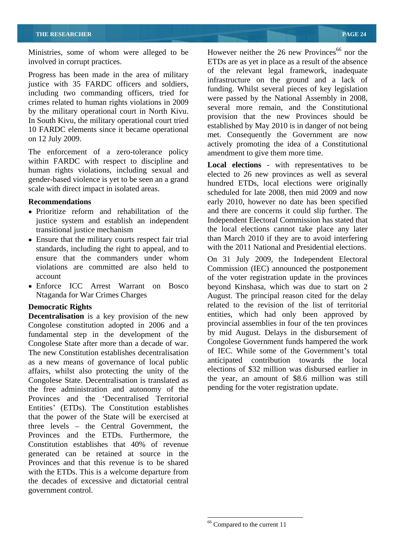Ministries, some of whom were alleged to be However neither the 26 new Provinces<sup>66</sup> nor the

Progress has been made in the area of military justice with 35 FARDC officers and soldiers, including two commanding officers, tried for crimes related to human rights violations in 2009 by the military operational court in North Kivu. In South Kivu, the military operational court tried 10 FARDC elements since it became operational

The enforcement of a zero-tolerance policy within FARDC with respect to discipline and human rights violations, including sexual and gender-based violence is yet to be seen an a grand

- justice system and establish an independent
- Ensure that the military courts respect fair trial standards, including the right to appeal, and to ensure that the commanders under whom On 31 July 2009, the Independent Electoral
- 

**Decentralisation** is a key provision of the new Congolese constitution adopted in 2006 and a fundamental step in the development of the Congolese State after more than a decade of war. The new Constitution establishes decentralisation as a new means of governance of local public affairs, whilst also protecting the unity of the Congolese State. Decentralisation is translated as the free administration and autonomy of the Provinces and the 'Decentralised Territorial Entities' (ETDs). The Constitution establishes that the power of the State will be exercised at three levels  $-$  the Central Government, the Provinces and the ETDs. Furthermore, the Constitution establishes that 40% of revenue generated can be retained at source in the Provinces and that this revenue is to be shared with the ETDs. This is a welcome departure from the decades of excessive and dictatorial central government control.

involved in corrupt practices. ETDs are as yet in place as a result of the absence on 12 July 2009. actively promoting the idea of a Constitutional nor the of the relevant legal framework, inadequate infrastructure on the ground and a lack of funding. Whilst several pieces of key legislation were passed by the National Assembly in 2008, several more remain, and the Constitutional provision that the new Provinces should be established by May 2010 is in danger of not being met. Consequently the Government are now amendment to give them more time.

scale with direct impact in isolated areas.<br>
scheduled for late 2008, then mid 2009 and now **Recommendations** early 2010, however no date has been specified Prioritize reform and rehabilitation of the and there are concerns it could slip further. The transitional justice mechanism the local elections cannot take place any later **Local elections** - with representatives to be elected to 26 new provinces as well as several hundred ETDs, local elections were originally Independent Electoral Commission has stated that than March 2010 if they are to avoid interfering with the 2011 National and Presidential elections.

violations are committed are also held to Commission (IEC) announced the postponement account of the voter registration update in the provinces Enforce ICC Arrest Warrant on Bosco beyond Kinshasa, which was due to start on 2 Ntaganda for War Crimes Charges August. The principal reason cited for the delay **Democratic Rights related** to the revision of the list of territorial entities, which had only been approved by provincial assemblies in four of the ten provinces by mid August. Delays in the disbursement of Congolese Government funds hampered the work of IEC. While some of the Government's total anticipated contribution towards the local elections of \$32 million was disbursed earlier in the year, an amount of \$8.6 million was still pending for the voter registration update.

<sup>&</sup>lt;sup>66</sup> Compared to the current 11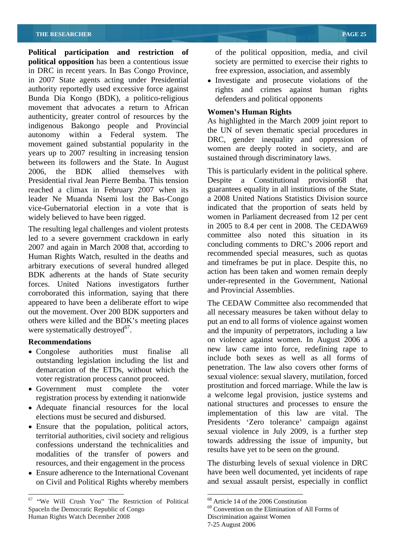**Political participation and restriction of political opposition** has been a contentious issue in DRC in recent years. In Bas Congo Province, in 2007 State agents acting under Presidential • Investigate and prosecute violations of the authority reportedly used excessive force against rights and crimes against human rights Bunda Dia Kongo (BDK), a politico-religious movement that advocates a return to African<br>Women's Human Rights authenticity, greater control of resources by the indigenous Bakongo people and Provincial autonomy within a Federal system. The movement gained substantial popularity in the years up to 2007 resulting in increasing tension between its followers and the State. In August 2006, the BDK allied themselves with This is particularly evident in the political sphere. Presidential rival Jean Pierre Bemba. This tension reached a climax in February 2007 when its leader Ne Muanda Nsemi lost the Bas-Congo

The resulting legal challenges and violent protests led to a severe government crackdown in early 2007 and again in March 2008 that, according to Human Rights Watch, resulted in the deaths and arbitrary executions of several hundred alleged BDK adherents at the hands of State security forces. United Nations investigators further corroborated this information, saying that there appeared to have been a deliberate effort to wipe The CEDAW Committee also recommended that

- outstanding legislation including the list and demarcation of the ETDs, without which the voter registration process cannot proceed.
- registration process by extending it nationwide
- Adequate financial resources for the local elections must be secured and disbursed.
- Ensure that the population, political actors, territorial authorities, civil society and religious confessions understand the technicalities and modalities of the transfer of powers and resources, and their engagement in the process
- on Civil and Political Rights whereby members

of the political opposition, media, and civil society are permitted to exercise their rights to free expression, association, and assembly

defenders and political opponents

## **Women s Human Rights**

As highlighted in the March 2009 joint report to the UN of seven thematic special procedures in DRC, gender inequality and oppression of women are deeply rooted in society, and are sustained through discriminatory laws.

vice-Gubernatorial election in a vote that is indicated that the proportion of seats held by widely believed to have been rigged. women in Parliament decreased from 12 per cent Despite a Constitutional provision68 guarantees equality in all institutions of the State, a 2008 United Nations Statistics Division source in 2005 to 8.4 per cent in 2008. The CEDAW69 committee also noted this situation in its concluding comments to DRC's 2006 report and recommended special measures, such as quotas and timeframes be put in place. Despite this, no action has been taken and women remain deeply under-represented in the Government, National and Provincial Assemblies.

out the movement. Over 200 BDK supporters and all necessary measures be taken without delay to others were killed and the BDK's meeting places put an end to all forms of violence against women were systematically destroyed<sup>67</sup>.  $\qquad \qquad$  and the impunity of perpetrators, including a law **Recommendations** on violence against women. In August 2006 a Congolese authorities must finalise all new law came into force, redefining rape to Government must complete the voter prostitution and forced marriage. While the law is The CEDAW Committee also recommended that include both sexes as well as all forms of penetration. The law also covers other forms of sexual violence: sexual slavery, mutilation, forced a welcome legal provision, justice systems and national structures and processes to ensure the implementation of this law are vital. The Presidents 'Zero tolerance' campaign against sexual violence in July 2009, is a further step towards addressing the issue of impunity, but results have yet to be seen on the ground.

Ensure adherence to the International Covenant have been well documented, yet incidents of rape The disturbing levels of sexual violence in DRC and sexual assault persist, especially in conflict

```
7-25 August 2006
```
 $67$  "We Will Crush You" The Restriction of Political  $68$  Article 14 of the 2006 Constitution SpaceIn the Democratic Republic of Congo <sup>69</sup> Convention on the Elimination of All Forms of Human Rights Watch December 2008

 $\frac{68}{68}$  Article 14 of the 2006 Constitution

Discrimination against Women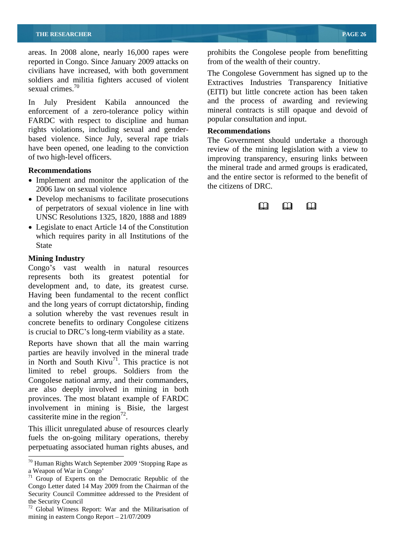areas. In 2008 alone, nearly 16,000 rapes were prohibits the Congolese people from benefitting reported in Congo. Since January 2009 attacks on civilians have increased, with both government soldiers and militia fighters accused of violent sexual crimes.<sup>70</sup>

In July President Kabila announced the enforcement of a zero-tolerance policy within FARDC with respect to discipline and human rights violations, including sexual and gender-<br>Recommendations based violence. Since July, several rape trials have been opened, one leading to the conviction

- Implement and monitor the application of the 2006 law on sexual violence
- Develop mechanisms to facilitate prosecutions<br>
of perpetrators of sexual violence in line with of perpetrators of sexual violence in line with UNSC Resolutions 1325, 1820, 1888 and 1889
- Legislate to enact Article 14 of the Constitution which requires parity in all Institutions of the State **State** State **State** State **State** State **State** State **State** State **State** State State State State State State State State State State State State State State State State State State State State State State State

## **Mining Industry**

Congo's vast wealth in natural resources represents both its greatest potential for development and, to date, its greatest curse. Having been fundamental to the recent conflict and the long years of corrupt dictatorship, finding a solution whereby the vast revenues result in concrete benefits to ordinary Congolese citizens is crucial to DRC's long-term viability as a state.

Reports have shown that all the main warring parties are heavily involved in the mineral trade in North and South Kivu<sup>71</sup>. This practice is not . This practice is not limited to rebel groups. Soldiers from the Congolese national army, and their commanders, are also deeply involved in mining in both provinces. The most blatant example of FARDC involvement in mining is Bisie, the largest cassiterite mine in the region<sup>72</sup>. cassiterite mine in the region<sup>12</sup>.<br>This illicit unregulated abuse of resources clearly

fuels the on-going military operations, thereby perpetuating associated human rights abuses, and from of the wealth of their country.

sexual crimes.<sup>70</sup> (EITI) but little concrete action has been taken The Congolese Government has signed up to the Extractives Industries Transparency Initiative and the process of awarding and reviewing mineral contracts is still opaque and devoid of popular consultation and input.

## **Recommendations**

of two high-level officers. improving transparency, ensuring links between **Recommendations** the mineral trade and armed groups is eradicated, The Government should undertake a thorough review of the mining legislation with a view to and the entire sector is reformed to the benefit of the citizens of DRC.



 $70$  Human Rights Watch September 2009 'Stopping Rape as a Weapon of War in Congo' a Weapon of War in Congo

 $71$  Group of Experts on the Democratic Republic of the Congo Letter dated 14 May 2009 from the Chairman of the Security Council Committee addressed to the President of

the Security Council <sup>72</sup> Global Witness Report: War and the Militarisation of mining in eastern Congo Report  $-21/07/2009$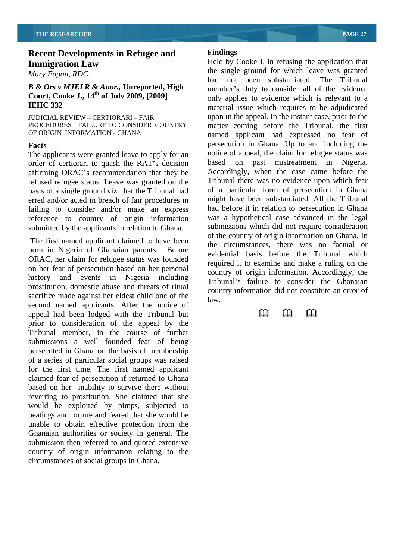## **Recent Developments in Refugee and**

## *B & Ors v MJELR & Anor.,* **Unreported, High Court, Cooke J., 14th of July 2009, [2009]**

The applicants were granted leave to apply for an notice<br>order of certiorari to quash the RAT's decision based order of certiorari to quash the RAT's decision affirming ORAC's recommendation that they be refused refugee status .Leave was granted on the basis of a single ground viz. that the Tribunal had erred and/or acted in breach of fair procedures in failing to consider and/or make an express reference to country of origin information submitted by the applicants in relation to Ghana.

The first named applicant claimed to have been born in Nigeria of Ghanaian parents. Before ORAC, her claim for refugee status was founded on her fear of persecution based on her personal history and events in Nigeria including prostitution, domestic abuse and threats of ritual sacrifice made against her eldest child one of the second named applicants. After the notice of  $\begin{bmatrix} \text{raw.} \\ \text{anneal bad been loaded with the Tribunal but} \end{bmatrix}$ appeal had been lodged with the Tribunal but prior to consideration of the appeal by the Tribunal member, in the course of further submissions a well founded fear of being persecuted in Ghana on the basis of membership of a series of particular social groups was raised for the first time. The first named applicant claimed fear of persecution if returned to Ghana based on her inability to survive there without reverting to prostitution. She claimed that she would be exploited by pimps, subjected to beatings and torture and feared that she would be unable to obtain effective protection from the Ghanaian authorities or society in general. The submission then referred to and quoted extensive country of origin information relating to the circumstances of social groups in Ghana.

## **Findings**

**Immigration Law Example 1** Figure **Example 1** Held by Cooke J. in refusing the application that *Mary Fagan, RDC.* the single ground for which leave was granted the single ground for which leave was granted **IEHC 332** material issue which requires to be adjudicated JUDICIAL REVIEW – CERTIORARI – FAIR upon in the appeal. In the instant case, prior to the PROCEDURES FAILURE TO CONSIDER COUNTRY matter coming before the Tribunal, the first OF ORIGIN INFORMATION - GHANA named applicant had expressed no fear of Facts **Facts Facts Persecution** in Ghana. Up to and including the Held by Cooke J. in refusing the application that had not been substantiated. The Tribunal member's duty to consider all of the evidence only applies to evidence which is relevant to a notice of appeal, the claim for refugee status was on past mistreatment in Nigeria. Accordingly, when the case came before the Tribunal there was no evidence upon which fear of a particular form of persecution in Ghana might have been substantiated. All the Tribunal had before it in relation to persecution in Ghana was a hypothetical case advanced in the legal submissions which did not require consideration of the country of origin information on Ghana. In the circumstances, there was no factual or evidential basis before the Tribunal which required it to examine and make a ruling on the country of origin information. Accordingly, the Tribunal's failure to consider the Ghanaian country information did not constitute an error of law.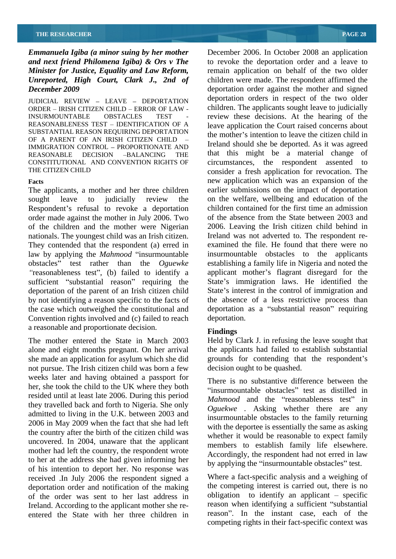JUDICIAL REVIEW - LEAVE - DEPORTATION<br>ORDER – IRISH CITIZEN CHILD – ERROR OF LAW -SUBSTANTIAL REASON REQUIRING DEPORTATION OF A PARENT OF AN IRISH CITIZEN CHILD IMMIGRATION CONTROL - PROPORTIONATE AND

The applicants, a mother and her three children Respondent's refusal to revoke a deportation order made against the mother in July 2006. Two They contended that the respondent (a) erred in law by applying the *Mahmood* "insurmountable" "reasonableness test", (b) failed to identify a deportation of the parent of an Irish citizen child by not identifying a reason specific to the facts of Convention rights involved and (c) failed to reach deportation. a reasonable and proportionate decision.

alone and eight months pregnant. On her arrival not pursue. The Irish citizen child was born a few weeks later and having obtained a passport for her, she took the child to the UK where they both resided until at least late 2006. During this period<br>Mahmood and the "reasonableness" est" in they travelled back and forth to Nigeria. She only admitted to living in the U.K. between 2003 and 2006 in May 2009 when the fact that she had left the country after the birth of the citizen child was uncovered. In 2004, unaware that the applicant mother had left the country, the respondent wrote to her at the address she had given informing her of his intention to deport her. No response was received .In July 2006 the respondent signed a deportation order and notification of the making of the order was sent to her last address in Ireland. According to the applicant mother she re-

*Emmanuela Igiba (a minor suing by her mother* December 2006. In October2008 an application *and next friend Philomena Igiba) & Ors v The* to revoke the deportation order and a leave to *Minister for Justice, Equality and Law Reform,* remain application on behalf of the two older *Unreported, High Court, Clark J., 2nd of* children were made. The respondent affirmed the *December 2009* deportation order against the mother and signed ORDER – IRISH CITIZEN CHILD – ERROR OF LAW - children. The applicants sought leave to judicially<br>INSURMOUNTABLE OBSTACLES TEST - review these decisions. At the hearing of the REASONABLENESS TEST – IDENTIFICATION OF A leave application the Court raised concerns about REASONABLE DECISION -BALANCING THE that this might be a material change of CONSTITUTIONAL AND CONVENTION RIGHTS OF circumstances, the respondent assented to THE CITIZEN CHILD consider a fresh application for revocation. The **Facts** new application which was an expansion of the sought leave to judicially review the on the welfare, wellbeing and education of the of the children and the mother were Nigerian 2006. Leaving the Irish citizen child behind in nationals. The youngest child was an Irish citizen. Ireland was not adverted to. The respondent re obstacles" test rather than the *Oguewke* establishing a family life in Nigeria and noted the sufficient "substantial reason" requiring the State's immigration laws. He identified the the case which outweighed the constitutional and deportation as a "substantial reason" requiring remain application on behalf of the two older children were made. The respondent affirmed the deportation orders in respect of the two older children. The applicants sought leave to judicially review these decisions. At the hearing of the the mother's intention to leave the citizen child in Ireland should she be deported. As it was agreed earlier submissions on the impact of deportation children contained for the first time an admission of the absence from the State between 2003 and examined the file. He found that there were no insurmountable obstacles to the applicants applicant mother's flagrant disregard for the State's interest in the control of immigration and the absence of a less restrictive process than deportation.

## **Findings**

The mother entered the State in March 2003 Held by Clark J. in refusing the leave sought that she made an application for asylum which she did grounds for contending that the respondent's the applicants had failed to establish substantial decision ought to be quashed.

> There is no substantive difference between the "insurmountable obstacles" test as distilled in *Mahmood* and the "reasonableness test" *Oguekwe .* Asking whether there are any insurmountable obstacles to the family returning with the deportee is essentially the same as asking whether it would be reasonable to expect family members to establish family life elsewhere. Accordingly, the respondent had not erred in law by applying the "insurmountable obstacles" test.

entered the State with her three children in reason". In the instant case, each of the Where a fact-specific analysis and a weighing of the competing interest is carried out, there is no obligation to identify an applicant  $-$  specific reason when identifying a sufficient "substantial" competing rights in their fact-specific context was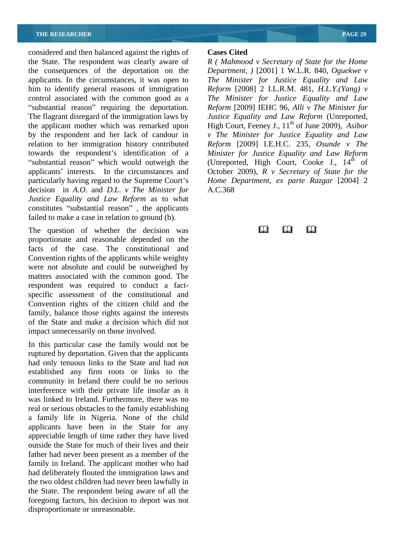considered and then balanced against the rights of **Cases Cited** the State. The respondent was clearly aware of *R ( Mahmood v Secretary of State for the Home* the consequences of the deportation on the *Department, )* [2001] 1 W.L.R. 840, *Oguekwe v* applicants. In the circumstances, it was open to The Minister for Justice Equality and Law him to identify general reasons of immigration control associated with the common good as a *The Minister for Justice Equality and Law* "substantial reason" requiring the deportation. The flagrant disregard of the immigration laws by *Justice Equality and Law Reform* (Unreported, the applicant mother which was remarked upon High Court, Feeney J., 11<sup>th</sup> of June 2009), *Asibor* by the respondent and her lack of candour in *v The Minister for Justice Equality and Law* relation to her immigration history contributed *Reform* [2009] I.E.H.C. 235, *Osunde v The* towards the respondent's identification of a Minister for Justice Equality and Law Reform applicants' interests. In the circumstances and October 2009), *R v Secretary of State for the* particularly having regard to the Supreme Court's decision in *A.O*. and *D.L*. *v The Minister for Justice Equality and Law Reform* as to what constitutes "substantial reason", the applicants failed to make a case in relation to ground (b).

The question of whether the decision was  $\Box$   $\Box$   $\Box$ proportionate and reasonable depended on the facts of the case. The constitutional and Convention rights of the applicants while weighty were not absolute and could be outweighed by matters associated with the common good. The respondent was required to conduct a fact specific assessment of the constitutional and Convention rights of the citizen child and the family, balance those rights against the interests of the State and make a decision which did not impact unnecessarily on those involved.

In this particular case the family would not be ruptured by deportation. Given that the applicants had only tenuous links to the State and had not established any firm roots or links to the community in Ireland there could be no serious interference with their private life insofar as it was linked to Ireland. Furthermore, there was no real or serious obstacles to the family establishing a family life in Nigeria. None of the child applicants have been in the State for any appreciable length of time rather they have lived outside the State for much of their lives and their father had never been present as a member of the family in Ireland. The applicant mother who had had deliberately flouted the immigration laws and the two oldest children had never been lawfully in the State. The respondent being aware of all the foregoing factors, his decision to deport was not disproportionate or unreasonable.

## **Cases Cited**

substantial reason" which would outweigh the  $\,$  (Unreported, High Court, Cooke J.,  $14^{\text{th}}$  of *Reform* [2008] 2 I.L.R.M. 481, *H.L.Y.(Yang) v Reform* [2009] IEHC 96, *Alli v The Minister for*  $\hat{t}$   $\hat{t}$ of *Home Department, ex parte Razgar* [2004] 2 A.C.368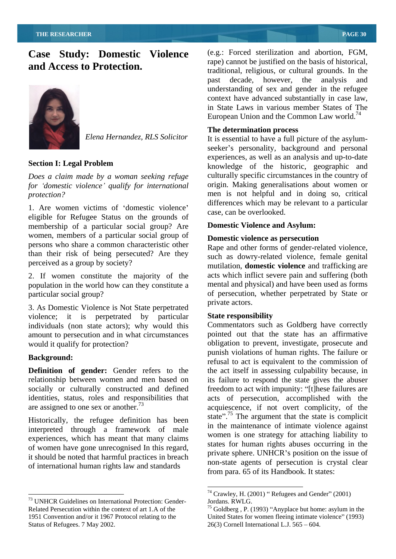## **Case Study: Domestic Violence**



*Does a claim made by a woman seeking refuge for domestic violence qualify for international*

1. Are women victims of 'domestic violence' eligible for Refugee Status on the grounds of membership of a particular social group? Are women, members of a particular social group of persons who share a common characteristic other than their risk of being persecuted? Are they

2. If women constitute the majority of the population in the world how can they constitute a

3. As Domestic Violence is Not State perpetrated private actors. violence; it is perpetrated by particular State responsibility individuals (non state actors); why would this amount to persecution and in what circumstances

Historically, the refugee definition has been interpreted through a framework of male experiences, which has meant that many claims of women have gone unrecognised In this regard, it should be noted that harmful practices in breach of international human rights law and standards

**and Access to Protection.**<br>
traditional, religious, or cultural grounds. In the (e.g.: Forced sterilization and abortion, FGM, rape) cannot be justified on the basis of historical, past decade, however, the analysis and understanding of sex and gender in the refugee context have advanced substantially in case law, in State Laws in various member States of The European Union and the Common Law world.<sup>74</sup>

## **The determination process**

*Elena Hernandez, RLS Solicitor* It is essential to have a full picture of the asylum- **Section I: Legal Problem** *protection?*  men is not helpful and in doing so, critical seeker's personality, background and personal experiences, as well as an analysis and up-to-date knowledge of the historic, geographic and culturally specific circumstances in the country of origin. Making generalisations about women or differences which may be relevant to a particular case, can be overlooked.

## **Domestic Violence and Asylum:**

## **Domestic violence as persecution**

perceived as a group by society? mutilation, **domestic violence** and trafficking are particular social group? of persecution, whether perpetrated by State or Rape and other forms of gender-related violence, such as dowry-related violence, female genital acts which inflict severe pain and suffering (both mental and physical) and have been used as forms private actors.

## **State responsibility**

would it qualify for protection? bligation to prevent, investigate, prosecute and **Background:**<br>
refusal to act is equivalent to the commission of **Definition of gender:** Gender refers to the the act itself in assessing culpability because, in relationship between women and men based on its failure to respond the state gives the abuser socially or culturally constructed and defined freedom to act with impunity: "[t]hese failures are identities, status, roles and responsibilities that acts of persecution, accomplished with the are assigned to one sex or another.<sup>73</sup> acquiescence, if not overt complicity, of the Commentators such as Goldberg have correctly pointed out that the state has an affirmative punish violations of human rights. The failure or state".<sup>75</sup> The argument that the state is complicit in the maintenance of intimate violence against women is one strategy for attaching liability to states for human rights abuses occurring in the private sphere. UNHCR's position on the issue of non-state agents of persecution is crystal clear from para. 65 of its Handbook. It states:

 <sup>73</sup> UNHCR Guidelines on International Protection: Gender- Related Persecution within the context of art 1.A of the <sup>75</sup> Goldberg, P. (1993) "Anyplace but home: asylum in the Status of Refugees. 7 May 2002. 26(3) Cornell International L.J. 565 – 604.

<sup>&</sup>lt;sup>74</sup> Crawley, H. (2001) "Refugees and Gender" (2001)

<sup>1951</sup> Convention and/or it 1967 Protocol relating to the United States for women fleeing intimate violence (1993) Jordans. RWLG.<br><sup>75</sup> Goldberg , P. (1993) "Anyplace but home: asylum in the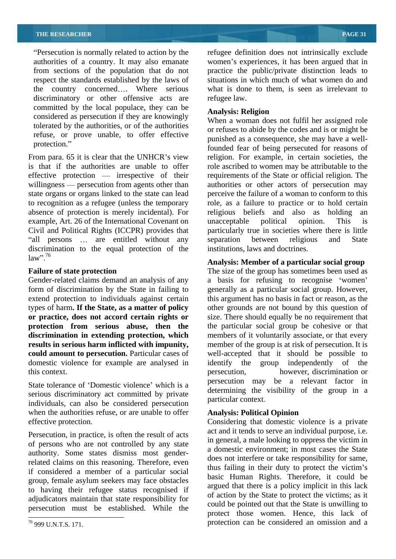Persecution is normally related to action by the refugee definition does not intrinsically exclude respect the standards established by the laws of discriminatory or other offensive acts are refugee law. committed by the local populace, they can be **Analysis: Religion** considered as persecution if they are knowingly tolerated by the authorities, or of the authorities refuse, or prove unable, to offer effective

From para. 65 it is clear that the UNHCR's view religion. For example, in certain societies, the is that if the authorities are unable to offer role ascribed to women may be attributable to the effective protection — irrespective of their requirements of the State or official religion. The willingness — persecution from agents other than state organs or organs linked to the state can lead perceive the failure of a woman to conform to this to recognition as a refugee (unless the temporary cole, as a failure to practice or to hold certain absence of protection is merely incidental). For example, Art. 26 of the International Covenant on unacceptable political opinion. This is Civil and Political Rights (ICCPR) provides that particularly true in societies where there is little all persons ... are entitled without any separation between religious and State discrimination to the equal protection of the law".<sup>76</sup>  $\text{law}^{2,76}$  and  $\text{law}^{2,76}$  are also the second second second second second second second second second second second second second second second second second second second second second second second second second s

form of discrimination by the State in failing to generally as a particular social group. However, extend protection to individuals against certain this argument has no basis in fact or reason, as the types of harm**. If the State, as a matter of policy** other grounds are not bound by this question of **or practice, does not accord certain rights or** size. There should equally be no requirement that **protection from serious abuse, then the** the particular social group be cohesive or that **discrimination in extending protection, which** members of it voluntarily associate, or that every **results in serious harm inflicted with impunity,**  member of the group is at risk of persecution. It is **could amount to persecution.** Particular cases of well-accepted that it should be possible to domestic violence for example are analysed in identify the group independently of the this context. **the example of the example of the example of the example of the example of the example of the example of the example of the example of the example of the example of the example of the example of the example** 

State tolerance of 'Domestic violence' which is a serious discriminatory act committed by private individuals, can also be considered persecution when the authorities refuse, or are unable to offer **Analysis: Political Opinion** effective protection. Considering that domestic violence is a private

Persecution, in practice, is often the result of acts of persons who are not controlled by any state authority. Some states dismiss most genderrelated claims on this reasoning. Therefore, even if considered a member of a particular social group, female asylum seekers may face obstacles to having their refugee status recognised if adjudicators maintain that state responsibility for persecution must be established. While the

authorities of a country. It may also emanate women's experiences, it has been argued that in from sections of the population that do not practice the public/private distinction leads to the country concerned.... Where serious what is done to them, is seen as irrelevant to situations in which much of what women do and refugee law.

## **Analysis: Religion**

protection." Funded the all consequence, she may have a went When a woman does not fulfil her assigned role or refuses to abide by the codes and is or might be punished as a consequence, she may have a wellauthorities or other actors of persecution may religious beliefs and also as holding an unacceptable political opinion. This is separation between religious and State institutions, laws and doctrines.

## **Analysis: Member of a particular social group**

**Failure of state protection** The size of the group has sometimes been used as Gender-related claims demand an analysis of any a basis for refusing to recognise 'women' identify the group independently of persecution, however, discrimination or persecution may be a relevant factor in determining the visibility of the group in a particular context.

## **Analysis: Political Opinion**

protect those women. Thence, this fact of<br>
protection can be considered an omission and a<br>
protection can be considered an omission and a act and it tends to serve an individual purpose, i.e. in general, a male looking to oppress the victim in a domestic environment; in most cases the State does not interfere or take responsibility for same, thus failing in their duty to protect the victim's basic Human Rights. Therefore, it could be argued that there is a policy implicit in this lack of action by the State to protect the victims; as it could be pointed out that the State is unwilling to protect those women. Hence, this lack of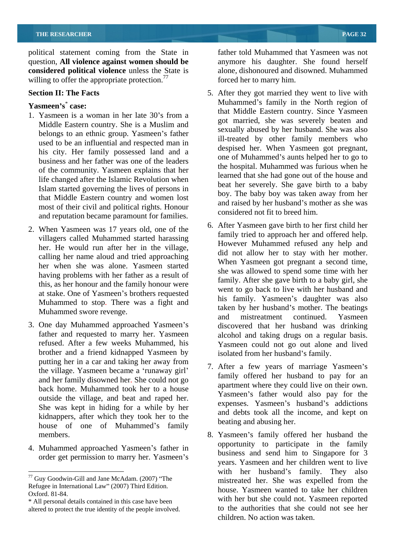political statement coming from the State in question, **All violence against women should be considered political violence** unless the State is willing to offer the appropriate protection.<sup>77</sup>

- 1. Yasmeen is a woman in her late 30's from a Middle Eastern country. She is a Muslim and belongs to an ethnic group. Yasmeen's father used to be an influential and respected man in his city. Her family possessed land and a business and her father was one of the leaders of the community. Yasmeen explains that her life changed after the Islamic Revolution when Islam started governing the lives of persons in that Middle Eastern country and women lost most of their civil and political rights. Honour and reputation became paramount for families.
- 2. When Yasmeen was 17 years old, one of the villagers called Muhammed started harassing her. He would run after her in the village, calling her name aloud and tried approaching her when she was alone. Yasmeen started having problems with her father as a result of this, as her honour and the family honour were at stake. One of Yasmeen's brothers requested Muhammed to stop. There was a fight and
- 3. One day Muhammed approached Yasmeen s father and requested to marry her. Yasmeen brother and a friend kidnapped Yasmeen by putting her in a car and taking her away from the village. Yasmeen became a 'runaway girl' and her family disowned her. She could not go back home. Muhammed took her to a house outside the village, and beat and raped her. She was kept in hiding for a while by her kidnappers, after which they took her to the house of one of Muhammed's family
- 4. Muhammed approached Yasmeen's father in order get permission to marry her. Yasmeen's

father told Muhammed that Yasmeen was not anymore his daughter. She found herself alone, dishonoured and disowned. Muhammed forced her to marry him.

- **Section II: The Facts Section II: The Facts S.** After they got married they went to live with **Yasmeen's case:** *Muhammed's family in the North region of Muhammed's family in the North region of* **case:**<br>
that Middle Eastern country. Since Yasmeen<br>
that Middle Eastern country. Since Yasmeen Muhammed's family in the North region of got married, she was severely beaten and sexually abused by her husband. She was also ill-treated by other family members who despised her. When Yasmeen got pregnant, one of Muhammed's aunts helped her to go to the hospital. Muhammed was furious when he learned that she had gone out of the house and beat her severely. She gave birth to a baby boy. The baby boy was taken away from her and raised by her husband's mother as she was considered not fit to breed him.
	- Muhammed swore revenge.<br>and mistreatment continued. Yasmeen refused. After a few weeks Muhammed, his Yasmeen could not go out alone and lived 6. After Yasmeen gave birth to her first child her family tried to approach her and offered help. However Muhammed refused any help and did not allow her to stay with her mother. When Yasmeen got pregnant a second time, she was allowed to spend some time with her family. After she gave birth to a baby girl, she went to go back to live with her husband and his family. Yasmeen's daughter was also taken by her husband's mother. The beatings and mistreatment continued. Yasmeen discovered that her husband was drinking alcohol and taking drugs on a regular basis. isolated from her husband's family.
		- 7. After a few years of marriage Yasmeen's family offered her husband to pay for an apartment where they could live on their own. Yasmeen's father would also pay for the expenses. Yasmeen's husband's addictions and debts took all the income, and kept on beating and abusing her.
- members. The same of the S. Yasmeen's family offered her husband the members. Oxford. 81-84. with her but she could not. Yasmeen reported opportunity to participate in the family business and send him to Singapore for 3 years. Yasmeen and her children went to live with her husband's family. They also mistreated her. She was expelled from the house. Yasmeen wanted to take her children to the authorities that she could not see her children. No action was taken.

 $77$  Guy Goodwin-Gill and Jane McAdam. (2007) "The Refugee in International Law" (2007) Third Edition.

<sup>\*</sup> All personal details contained in this case have been altered to protect the true identity of the people involved.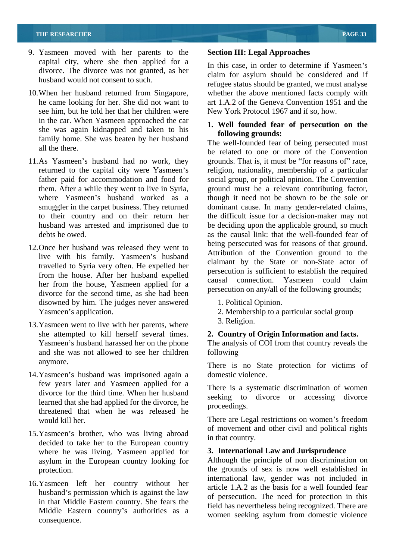- 9. Yasmeen moved with her parents to the capital city, where she then applied for a divorce. The divorce was not granted, as her
- 10. When her husband returned from Singapore, whether the above mentioned facts comply with he came looking for her. She did not want to art 1.A.2 of the Geneva Convention 1951 and the see him, but he told her that her children were in the car. When Yasmeen approached the car she was again kidnapped and taken to his family home. She was beaten by her husband
- 11.As Yasmeen's husband had no work, they where Yasmeen's husband worked as a
- 12.Once her husband was released they went to live with his family. Yasmeen's husband travelled to Syria very often. He expelled her from the house. After her husband expelled her from the house, Yasmeen applied for a divorce for the second time, as she had been disowned by him. The judges never answered Yasmeen's application. 2. Membership to a particular social group
- 13. Yasmeen went to live with her parents, where  $\frac{3. \text{ Religion}}{2. \text{ Country of}}$ . she attempted to kill herself several times. **2. Country of Origin Information and facts.** and she was not allowed to see her children
- 14. Yasmeen's husband was imprisoned again a few years later and Yasmeen applied for a learned that she had applied for the divorce, he proceedings. threatened that when he was released he
- 15. Yasmeen's brother, who was living abroad decided to take her to the European country where he was living. Yasmeen applied for asylum in the European country looking for
- 16.Yasmeen left her country without her husband's permission which is against the law in that Middle Eastern country. She fears the Middle Eastern country's authorities as a consequence.

## **Section III: Legal Approaches**

husband would not consent to such.<br>
refugee status should be granted, we must analyse In this case, in order to determine if Yasmeen's claim for asylum should be considered and if whether the above mentioned facts comply with art 1.A.2 of the Geneva Convention 1951 and the New York Protocol 1967 and if so, how.

## **1. Well founded fear of persecution on the following grounds:**

all the there.<br>
be related to one or more of the Convention returned to the capital city were Yasmeen's religion, nationality, membership of a particular father paid for accommodation and food for social group, or political opinion. The Convention them. After a while they went to live in Syria, ground must be a relevant contributing factor, smuggler in the carpet business. They returned dominant cause. In many gender-related claims, to their country and on their return her the difficult issue for a decision-maker may not husband was arrested and imprisoned due to be deciding upon the applicable ground, so much debts he owed. as the causal link: that the well-founded fear of The well-founded fear of being persecuted must grounds. That is, it must be "for reasons of" race, though it need not be shown to be the sole or being persecuted was for reasons of that ground. Attribution of the Convention ground to the claimant by the State or non-State actor of persecution is sufficient to establish the required causal connection. Yasmeen could claim persecution on any/all of the following grounds;

- 1. Political Opinion.
- 3. Religion.

Yasmeen's husband harassed her on the phone The analysis of COI from that country reveals the following

anymore. There is no State protection for victims of domestic violence.

divorce for the third time. When her husband<br>seeking to divorce or accessing divorce There is a systematic discrimination of women seeking to divorce or proceedings.

would kill her. There are Legal restrictions on women's freedom of movement and other civil and political rights in that country.

## **3. International Law and Jurisprudence**

protection. the grounds of sex is now well established in Although the principle of non discrimination on international law, gender was not included in article 1.A.2 as the basis for a well founded fear of persecution. The need for protection in this field has nevertheless being recognized. There are women seeking asylum from domestic violence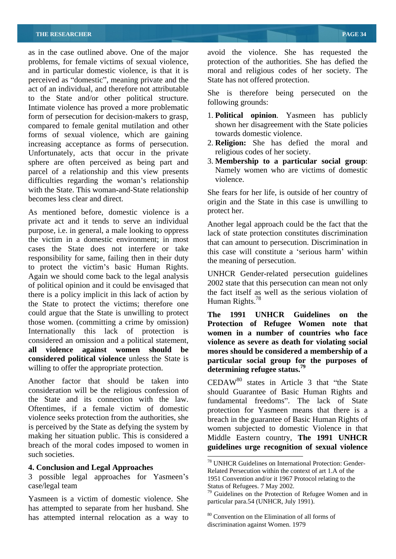as in the case outlined above. One of the major avoid the violence. She has requested the problems, for female victims of sexual violence, and in particular domestic violence, is that it is moral and religious codes of her society. The perceived as "domestic", meaning private and the act of an individual, and therefore not attributable to the State and/or other political structure. Intimate violence has proved a more problematic form of persecution for decision-makers to grasp, compared to female genital mutilation and other forms of sexual violence, which are gaining increasing acceptance as forms of persecution. Unfortunately, acts that occur in the private sphere are often perceived as being part and parcel of a relationship and this view presents Mamely<br>difficulties regarding the woman's relationship violence. difficulties regarding the woman's relationship with the State. This woman-and-State relationship

As mentioned before, domestic violence is a protect her. private act and it tends to serve an individual purpose, i.e. in general, a male looking to oppress the victim in a domestic environment; in most cases the State does not interfere or take responsibility for same, failing then in their duty to protect the victim's basic Human Rights. Again we should come back to the legal analysis of political opinion and it could be envisaged that there is a policy implicit in this lack of action by the fact itself as<br>the State to protect the victims: therefore one Human Rights.<sup>78</sup> the State to protect the victims; therefore one could argue that the State is unwilling to protect The 1991 UNHCR Guidelines on the those women. (committing a crime by omission) Internationally this lack of protection is **women in a number of countries who face** considered an omission and a political statement, **violence as severe as death for violating social all violence against women should be mores should be considered a membership of a considered political violence** unless the State is **particular social group for the purposes of** willing to offer the appropriate protection.

Another factor that should be taken into  $\text{CEDAW}^{80}$  states in Article 3 that "the State consideration will be the religious confession of should Guarantee of Basic Human Rights and the State and its connection with the law. fundamental freedoms". The lack of State Oftentimes, if a female victim of domestic protection for Yasmeen means that there is a violence seeks protection from the authorities, she breach in the guarantee of Basic Human Rights of is perceived by the State as defying the system by making her situation public. This is considered a Middle Eastern country, **The 1991 UNHCR** breach of the moral codes imposed to women in **guidelines urge recognition of sexual violence** such societies.

## **4. Conclusion and Legal Approaches**

3 possible legal approaches for Yasmeen s

Yasmeen is a victim of domestic violence. She has attempted to separate from her husband. She has attempted internal relocation as a way to protection of the authorities. She has defied the State has not offered protection.

She is therefore being persecuted on the following grounds:

- 1. **Political opinion**. Yasmeen has publicly shown her disagreement with the State policies towards domestic violence.
- 2. **Religion:** She has defied the moral and religious codes of her society.
- 3. **Membership to a particular social group**: Namely women who are victims of domestic violence.

becomes less clear and direct. origin and the State in this case is unwilling to She fears for her life, is outside of her country of protect her.

> Another legal approach could be the fact that the lack of state protection constitutes discrimination that can amount to persecution. Discrimination in this case will constitute a 'serious harm' within the meaning of persecution.

UNHCR Gender-related persecution guidelines 2002 state that this persecution can mean not only the fact itself as well as the serious violation of Human Rights.<sup>78</sup>

**The 1991 UNHCR Guidelines on the Protection of Refugee Women note that determining refugee status.<sup>79</sup>**

women subjected to domestic Violence in that

case/legal team Status of Refugees. 7 May 2002. 78 UNHCR Guidelines on International Protection: Gender- Related Persecution within the context of art 1.A of the 1951 Convention and/or it 1967 Protocol relating to the Status of Refugees. 7 May 2002.<br><sup>79</sup> Guidelines on the Protection of Refugee Women and in

particular para.54 (UNHCR, July 1991).

<sup>80</sup> Convention on the Elimination of all forms of discrimination against Women. 1979